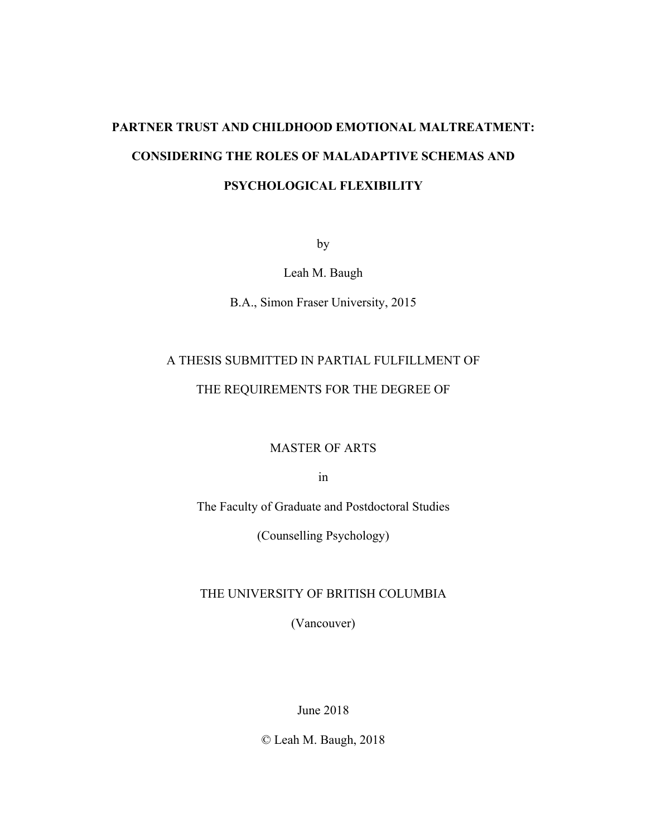# **PARTNER TRUST AND CHILDHOOD EMOTIONAL MALTREATMENT: CONSIDERING THE ROLES OF MALADAPTIVE SCHEMAS AND PSYCHOLOGICAL FLEXIBILITY**

by

Leah M. Baugh

B.A., Simon Fraser University, 2015

# A THESIS SUBMITTED IN PARTIAL FULFILLMENT OF

## THE REQUIREMENTS FOR THE DEGREE OF

MASTER OF ARTS

in

The Faculty of Graduate and Postdoctoral Studies

(Counselling Psychology)

THE UNIVERSITY OF BRITISH COLUMBIA

(Vancouver)

June 2018

© Leah M. Baugh, 2018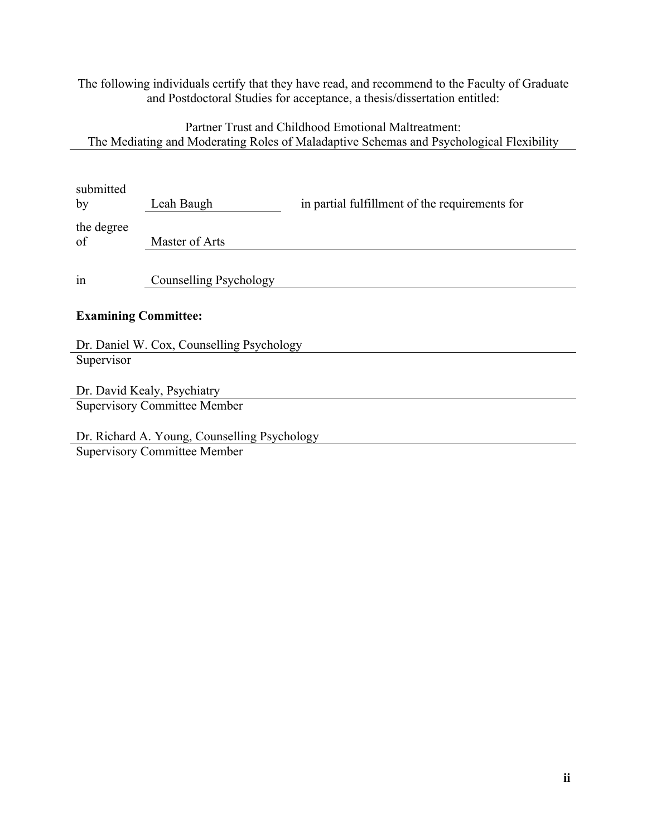The following individuals certify that they have read, and recommend to the Faculty of Graduate and Postdoctoral Studies for acceptance, a thesis/dissertation entitled:

Partner Trust and Childhood Emotional Maltreatment: The Mediating and Moderating Roles of Maladaptive Schemas and Psychological Flexibility

| submitted<br>by  | Leah Baugh                                | in partial fulfillment of the requirements for |  |  |  |  |  |
|------------------|-------------------------------------------|------------------------------------------------|--|--|--|--|--|
| the degree<br>of | Master of Arts                            |                                                |  |  |  |  |  |
| 1n               | Counselling Psychology                    |                                                |  |  |  |  |  |
|                  | <b>Examining Committee:</b>               |                                                |  |  |  |  |  |
|                  | Dr. Daniel W. Cox, Counselling Psychology |                                                |  |  |  |  |  |
| Supervisor       |                                           |                                                |  |  |  |  |  |
|                  | Dr. David Kealy, Psychiatry               |                                                |  |  |  |  |  |
|                  | <b>Supervisory Committee Member</b>       |                                                |  |  |  |  |  |
|                  |                                           |                                                |  |  |  |  |  |

Dr. Richard A. Young, Counselling Psychology Supervisory Committee Member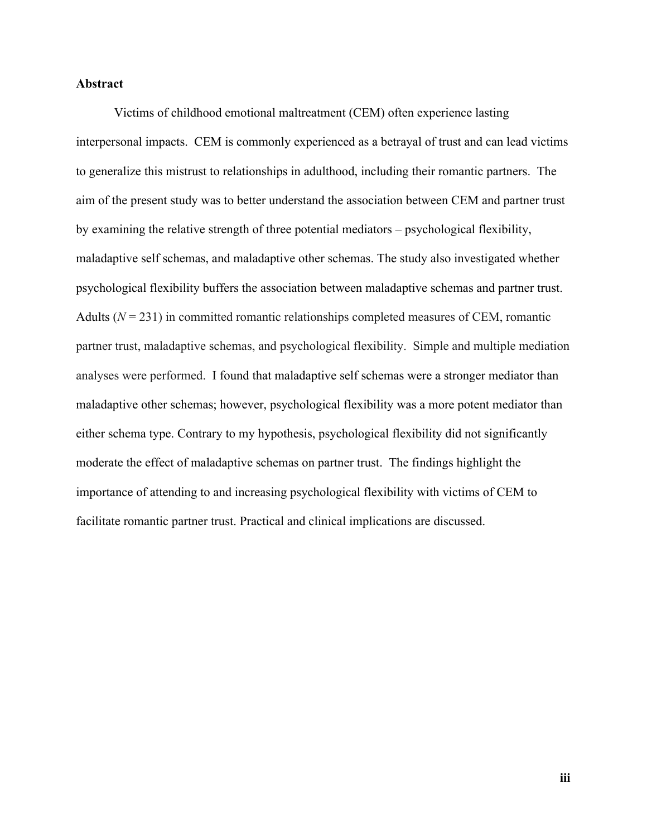#### **Abstract**

Victims of childhood emotional maltreatment (CEM) often experience lasting interpersonal impacts. CEM is commonly experienced as a betrayal of trust and can lead victims to generalize this mistrust to relationships in adulthood, including their romantic partners. The aim of the present study was to better understand the association between CEM and partner trust by examining the relative strength of three potential mediators – psychological flexibility, maladaptive self schemas, and maladaptive other schemas. The study also investigated whether psychological flexibility buffers the association between maladaptive schemas and partner trust. Adults  $(N = 231)$  in committed romantic relationships completed measures of CEM, romantic partner trust, maladaptive schemas, and psychological flexibility. Simple and multiple mediation analyses were performed.I found that maladaptive self schemas were a stronger mediator than maladaptive other schemas; however, psychological flexibility was a more potent mediator than either schema type. Contrary to my hypothesis, psychological flexibility did not significantly moderate the effect of maladaptive schemas on partner trust.The findings highlight the importance of attending to and increasing psychological flexibility with victims of CEM to facilitate romantic partner trust. Practical and clinical implications are discussed.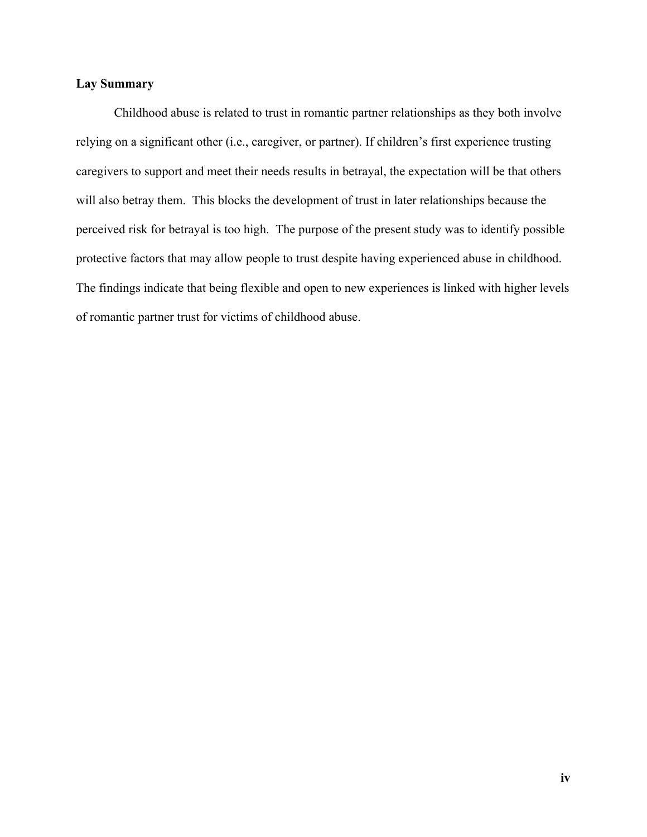## **Lay Summary**

Childhood abuse is related to trust in romantic partner relationships as they both involve relying on a significant other (i.e., caregiver, or partner). If children's first experience trusting caregivers to support and meet their needs results in betrayal, the expectation will be that others will also betray them. This blocks the development of trust in later relationships because the perceived risk for betrayal is too high. The purpose of the present study was to identify possible protective factors that may allow people to trust despite having experienced abuse in childhood. The findings indicate that being flexible and open to new experiences is linked with higher levels of romantic partner trust for victims of childhood abuse.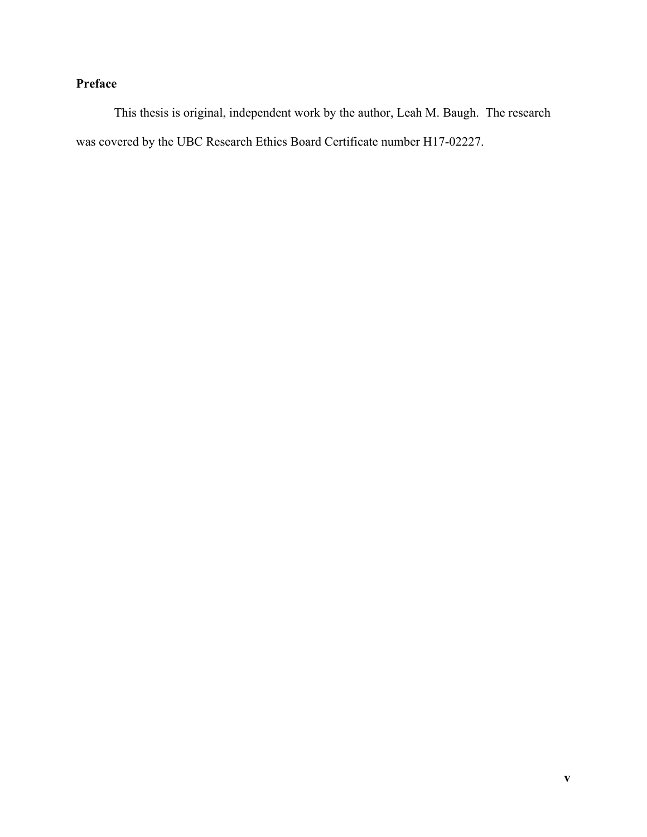# **Preface**

This thesis is original, independent work by the author, Leah M. Baugh. The research was covered by the UBC Research Ethics Board Certificate number H17-02227.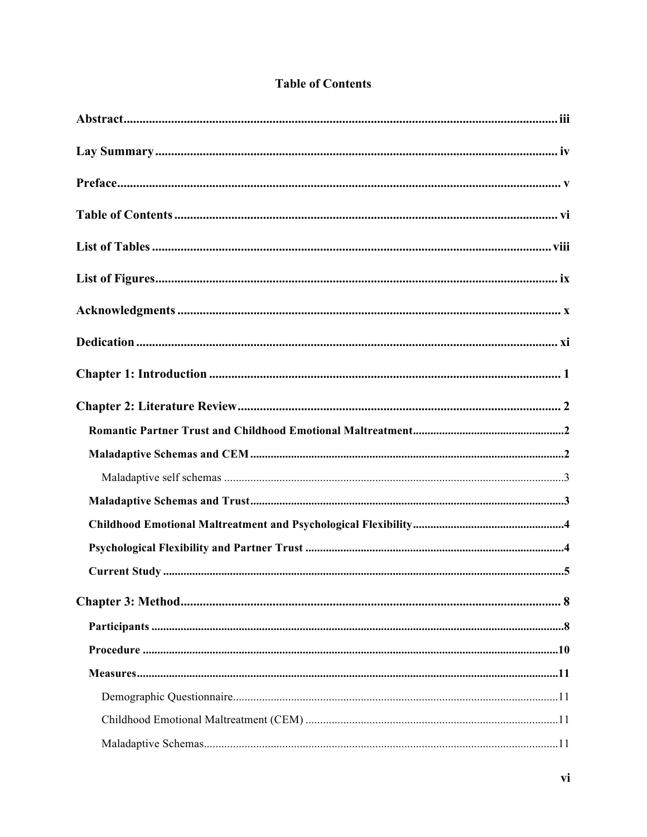# **Table of Contents**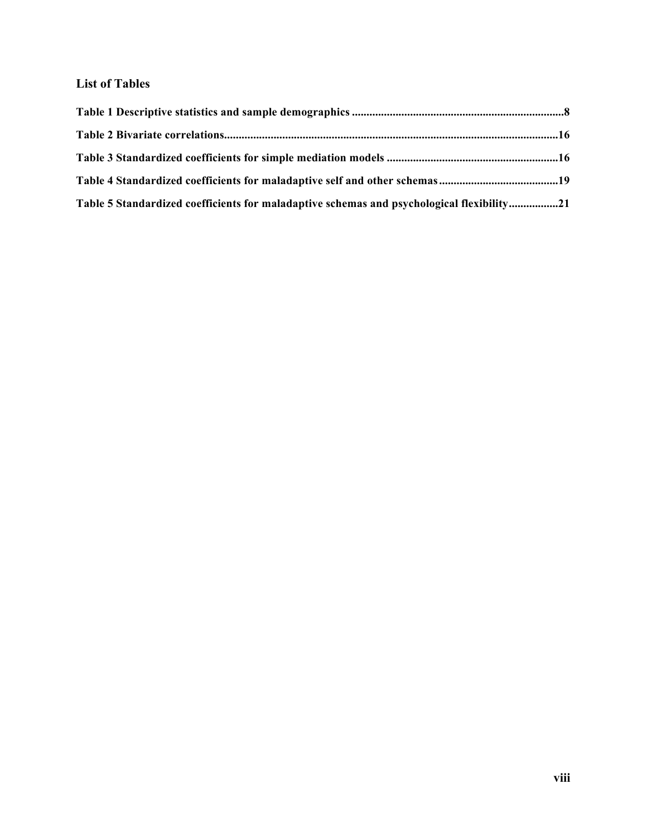# **List of Tables**

| Table 5 Standardized coefficients for maladaptive schemas and psychological flexibility21 |  |
|-------------------------------------------------------------------------------------------|--|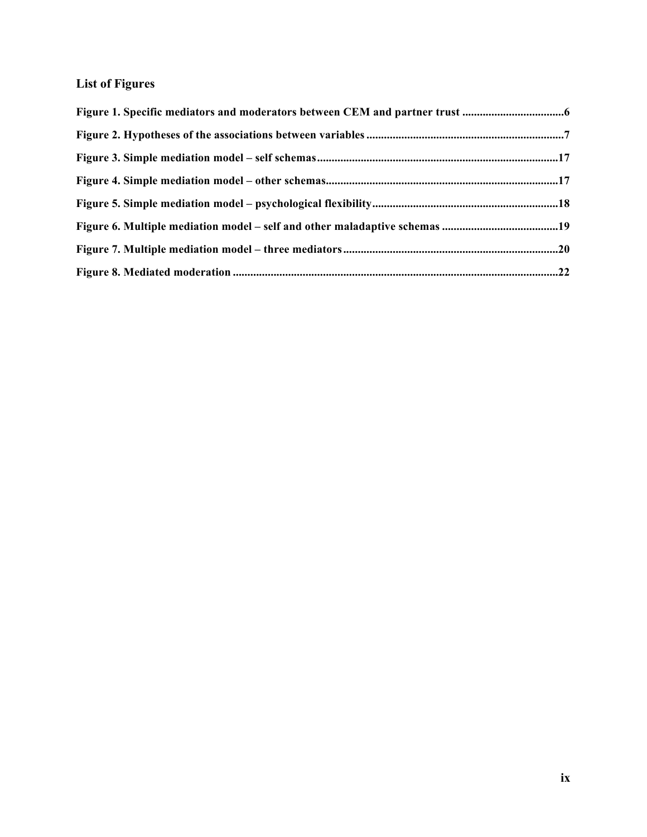# **List of Figures**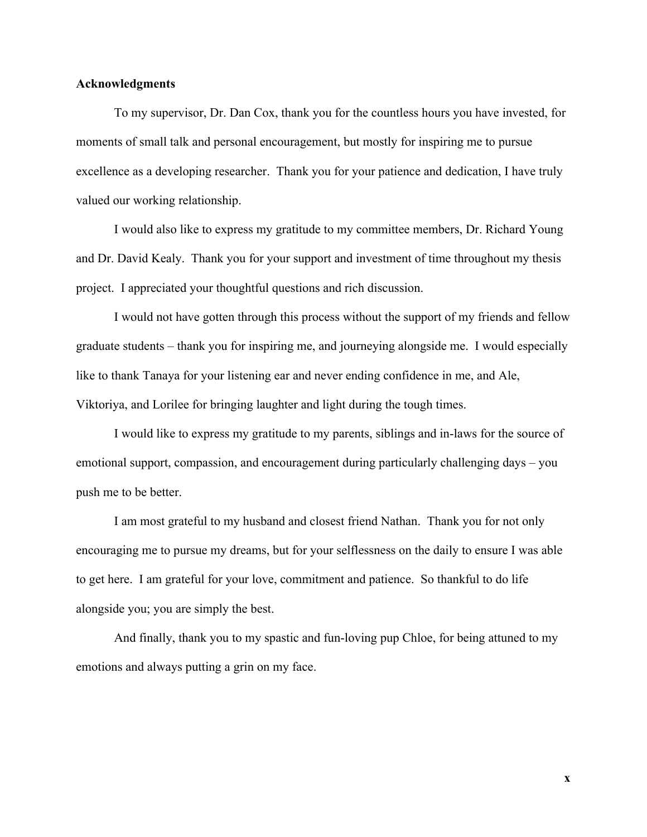#### **Acknowledgments**

To my supervisor, Dr. Dan Cox, thank you for the countless hours you have invested, for moments of small talk and personal encouragement, but mostly for inspiring me to pursue excellence as a developing researcher. Thank you for your patience and dedication, I have truly valued our working relationship.

I would also like to express my gratitude to my committee members, Dr. Richard Young and Dr. David Kealy. Thank you for your support and investment of time throughout my thesis project. I appreciated your thoughtful questions and rich discussion.

I would not have gotten through this process without the support of my friends and fellow graduate students – thank you for inspiring me, and journeying alongside me. I would especially like to thank Tanaya for your listening ear and never ending confidence in me, and Ale, Viktoriya, and Lorilee for bringing laughter and light during the tough times.

I would like to express my gratitude to my parents, siblings and in-laws for the source of emotional support, compassion, and encouragement during particularly challenging days – you push me to be better.

I am most grateful to my husband and closest friend Nathan. Thank you for not only encouraging me to pursue my dreams, but for your selflessness on the daily to ensure I was able to get here. I am grateful for your love, commitment and patience. So thankful to do life alongside you; you are simply the best.

And finally, thank you to my spastic and fun-loving pup Chloe, for being attuned to my emotions and always putting a grin on my face.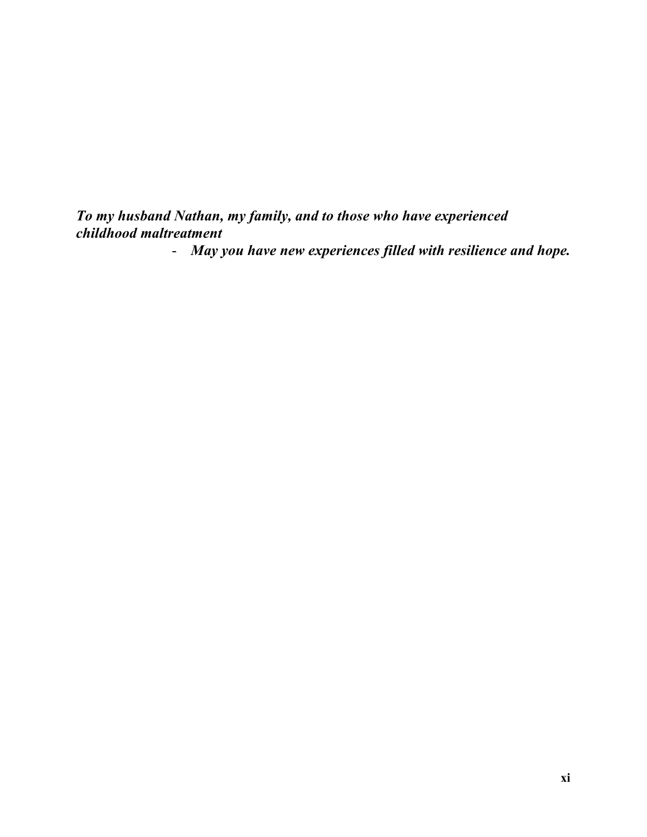*To my husband Nathan, my family, and to those who have experienced childhood maltreatment* 

- *May you have new experiences filled with resilience and hope.*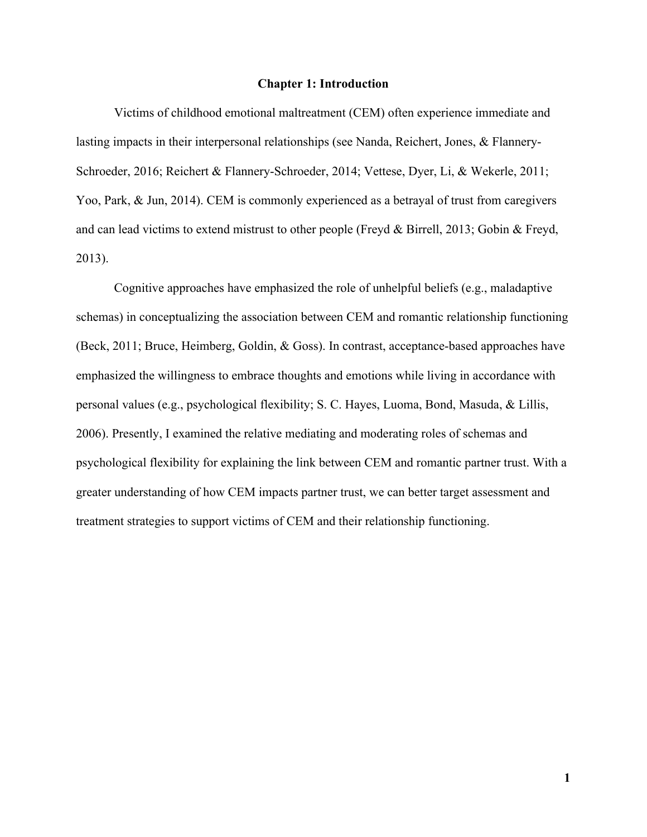#### **Chapter 1: Introduction**

Victims of childhood emotional maltreatment (CEM) often experience immediate and lasting impacts in their interpersonal relationships (see Nanda, Reichert, Jones, & Flannery-Schroeder, 2016; Reichert & Flannery-Schroeder, 2014; Vettese, Dyer, Li, & Wekerle, 2011; Yoo, Park, & Jun, 2014). CEM is commonly experienced as a betrayal of trust from caregivers and can lead victims to extend mistrust to other people (Freyd & Birrell, 2013; Gobin & Freyd, 2013).

Cognitive approaches have emphasized the role of unhelpful beliefs (e.g., maladaptive schemas) in conceptualizing the association between CEM and romantic relationship functioning (Beck, 2011; Bruce, Heimberg, Goldin, & Goss). In contrast, acceptance-based approaches have emphasized the willingness to embrace thoughts and emotions while living in accordance with personal values (e.g., psychological flexibility; S. C. Hayes, Luoma, Bond, Masuda, & Lillis, 2006). Presently, I examined the relative mediating and moderating roles of schemas and psychological flexibility for explaining the link between CEM and romantic partner trust. With a greater understanding of how CEM impacts partner trust, we can better target assessment and treatment strategies to support victims of CEM and their relationship functioning.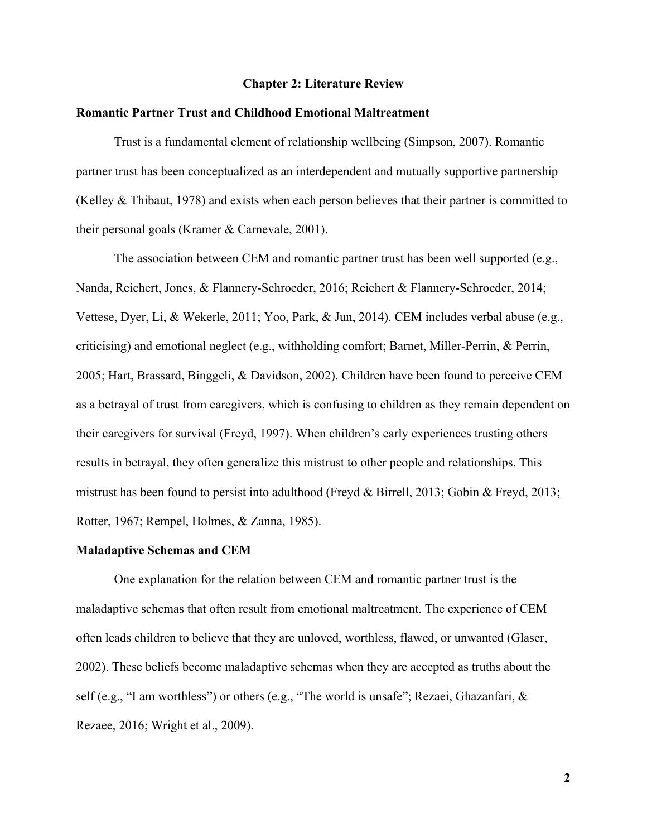#### **Chapter 2: Literature Review**

## **Romantic Partner Trust and Childhood Emotional Maltreatment**

Trust is a fundamental element of relationship wellbeing (Simpson, 2007). Romantic partner trust has been conceptualized as an interdependent and mutually supportive partnership (Kelley  $&$  Thibaut, 1978) and exists when each person believes that their partner is committed to their personal goals (Kramer & Carnevale, 2001).

The association between CEM and romantic partner trust has been well supported (e.g., Nanda, Reichert, Jones, & Flannery-Schroeder, 2016; Reichert & Flannery-Schroeder, 2014; Vettese, Dyer, Li, & Wekerle, 2011; Yoo, Park, & Jun, 2014). CEM includes verbal abuse (e.g., criticising) and emotional neglect (e.g., withholding comfort; Barnet, Miller-Perrin, & Perrin, 2005; Hart, Brassard, Binggeli, & Davidson, 2002). Children have been found to perceive CEM as a betrayal of trust from caregivers, which is confusing to children as they remain dependent on their caregivers for survival (Freyd, 1997). When children's early experiences trusting others results in betrayal, they often generalize this mistrust to other people and relationships. This mistrust has been found to persist into adulthood (Freyd & Birrell, 2013; Gobin & Freyd, 2013; Rotter, 1967; Rempel, Holmes, & Zanna, 1985).

#### **Maladaptive Schemas and CEM**

One explanation for the relation between CEM and romantic partner trust is the maladaptive schemas that often result from emotional maltreatment. The experience of CEM often leads children to believe that they are unloved, worthless, flawed, or unwanted (Glaser, 2002). These beliefs become maladaptive schemas when they are accepted as truths about the self (e.g., "I am worthless") or others (e.g., "The world is unsafe"; Rezaei, Ghazanfari, & Rezaee, 2016; Wright et al., 2009).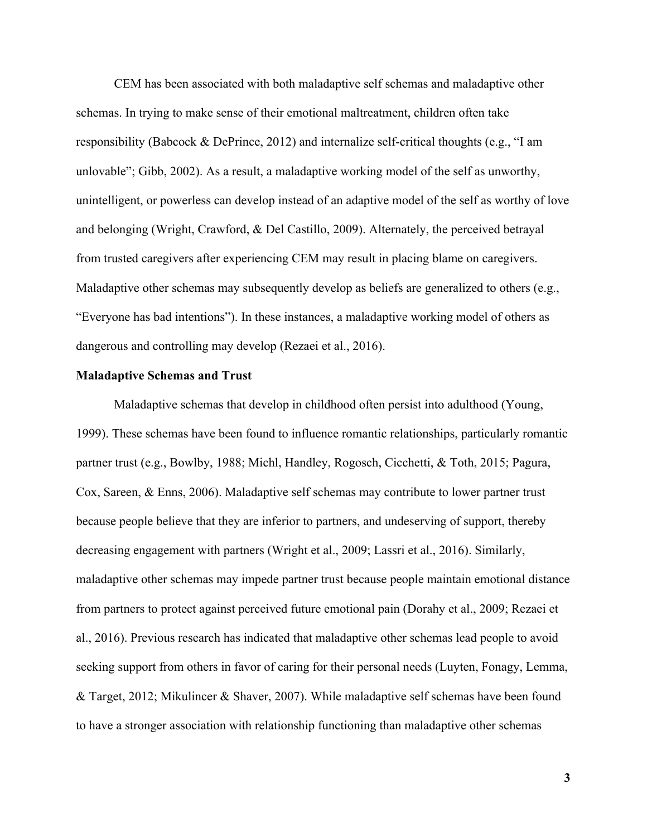CEM has been associated with both maladaptive self schemas and maladaptive other schemas. In trying to make sense of their emotional maltreatment, children often take responsibility (Babcock & DePrince, 2012) and internalize self-critical thoughts (e.g., "I am unlovable"; Gibb, 2002). As a result, a maladaptive working model of the self as unworthy, unintelligent, or powerless can develop instead of an adaptive model of the self as worthy of love and belonging (Wright, Crawford, & Del Castillo, 2009). Alternately, the perceived betrayal from trusted caregivers after experiencing CEM may result in placing blame on caregivers. Maladaptive other schemas may subsequently develop as beliefs are generalized to others (e.g., "Everyone has bad intentions"). In these instances, a maladaptive working model of others as dangerous and controlling may develop (Rezaei et al., 2016).

#### **Maladaptive Schemas and Trust**

Maladaptive schemas that develop in childhood often persist into adulthood (Young, 1999). These schemas have been found to influence romantic relationships, particularly romantic partner trust (e.g., Bowlby, 1988; Michl, Handley, Rogosch, Cicchetti, & Toth, 2015; Pagura, Cox, Sareen, & Enns, 2006). Maladaptive self schemas may contribute to lower partner trust because people believe that they are inferior to partners, and undeserving of support, thereby decreasing engagement with partners (Wright et al., 2009; Lassri et al., 2016). Similarly, maladaptive other schemas may impede partner trust because people maintain emotional distance from partners to protect against perceived future emotional pain (Dorahy et al., 2009; Rezaei et al., 2016). Previous research has indicated that maladaptive other schemas lead people to avoid seeking support from others in favor of caring for their personal needs (Luyten, Fonagy, Lemma, & Target, 2012; Mikulincer & Shaver, 2007). While maladaptive self schemas have been found to have a stronger association with relationship functioning than maladaptive other schemas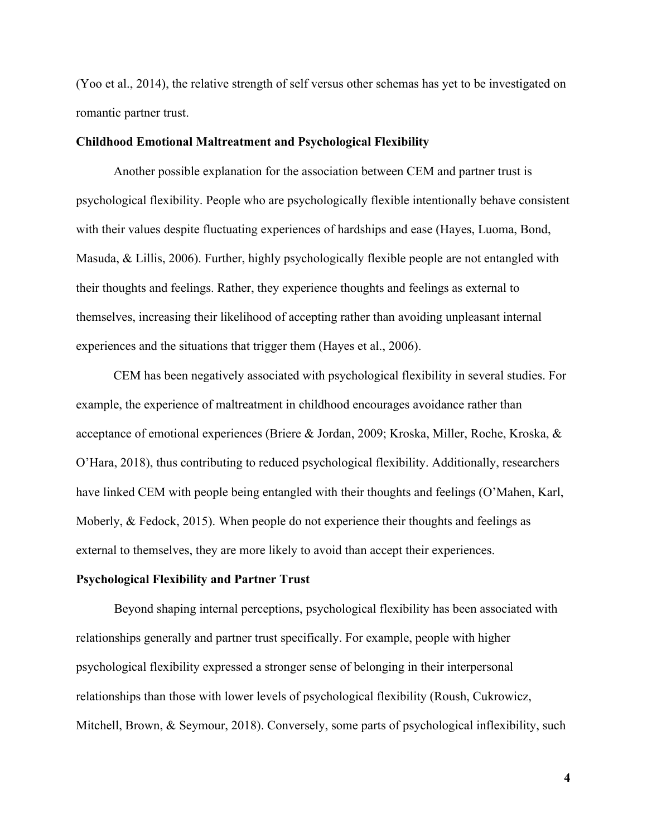(Yoo et al., 2014), the relative strength of self versus other schemas has yet to be investigated on romantic partner trust.

#### **Childhood Emotional Maltreatment and Psychological Flexibility**

Another possible explanation for the association between CEM and partner trust is psychological flexibility. People who are psychologically flexible intentionally behave consistent with their values despite fluctuating experiences of hardships and ease (Hayes, Luoma, Bond, Masuda, & Lillis, 2006). Further, highly psychologically flexible people are not entangled with their thoughts and feelings. Rather, they experience thoughts and feelings as external to themselves, increasing their likelihood of accepting rather than avoiding unpleasant internal experiences and the situations that trigger them (Hayes et al., 2006).

CEM has been negatively associated with psychological flexibility in several studies. For example, the experience of maltreatment in childhood encourages avoidance rather than acceptance of emotional experiences (Briere & Jordan, 2009; Kroska, Miller, Roche, Kroska, & O'Hara, 2018), thus contributing to reduced psychological flexibility. Additionally, researchers have linked CEM with people being entangled with their thoughts and feelings (O'Mahen, Karl, Moberly, & Fedock, 2015). When people do not experience their thoughts and feelings as external to themselves, they are more likely to avoid than accept their experiences.

#### **Psychological Flexibility and Partner Trust**

Beyond shaping internal perceptions, psychological flexibility has been associated with relationships generally and partner trust specifically. For example, people with higher psychological flexibility expressed a stronger sense of belonging in their interpersonal relationships than those with lower levels of psychological flexibility (Roush, Cukrowicz, Mitchell, Brown, & Seymour, 2018). Conversely, some parts of psychological inflexibility, such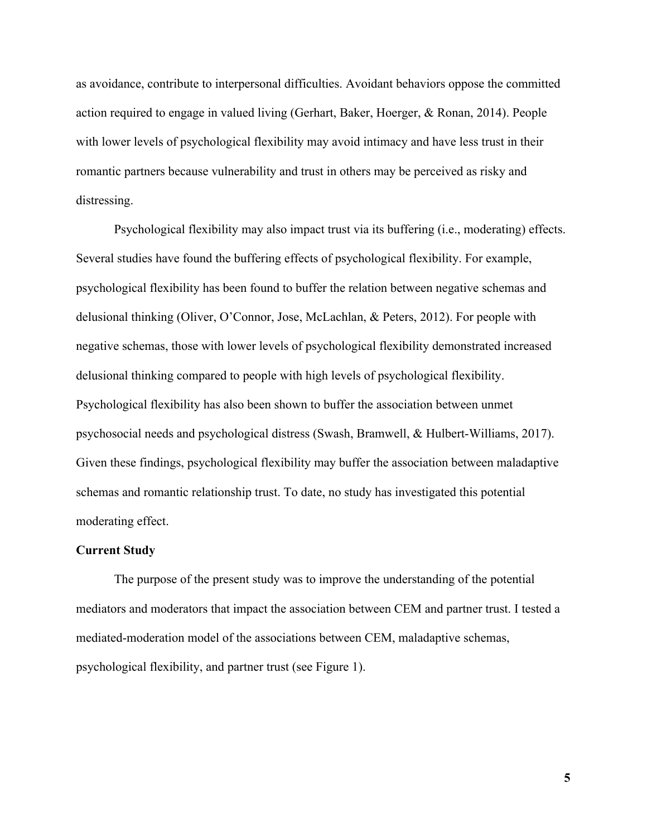as avoidance, contribute to interpersonal difficulties. Avoidant behaviors oppose the committed action required to engage in valued living (Gerhart, Baker, Hoerger, & Ronan, 2014). People with lower levels of psychological flexibility may avoid intimacy and have less trust in their romantic partners because vulnerability and trust in others may be perceived as risky and distressing.

Psychological flexibility may also impact trust via its buffering (i.e., moderating) effects. Several studies have found the buffering effects of psychological flexibility. For example, psychological flexibility has been found to buffer the relation between negative schemas and delusional thinking (Oliver, O'Connor, Jose, McLachlan, & Peters, 2012). For people with negative schemas, those with lower levels of psychological flexibility demonstrated increased delusional thinking compared to people with high levels of psychological flexibility. Psychological flexibility has also been shown to buffer the association between unmet psychosocial needs and psychological distress (Swash, Bramwell, & Hulbert-Williams, 2017). Given these findings, psychological flexibility may buffer the association between maladaptive schemas and romantic relationship trust. To date, no study has investigated this potential moderating effect.

#### **Current Study**

The purpose of the present study was to improve the understanding of the potential mediators and moderators that impact the association between CEM and partner trust. I tested a mediated-moderation model of the associations between CEM, maladaptive schemas, psychological flexibility, and partner trust (see Figure 1).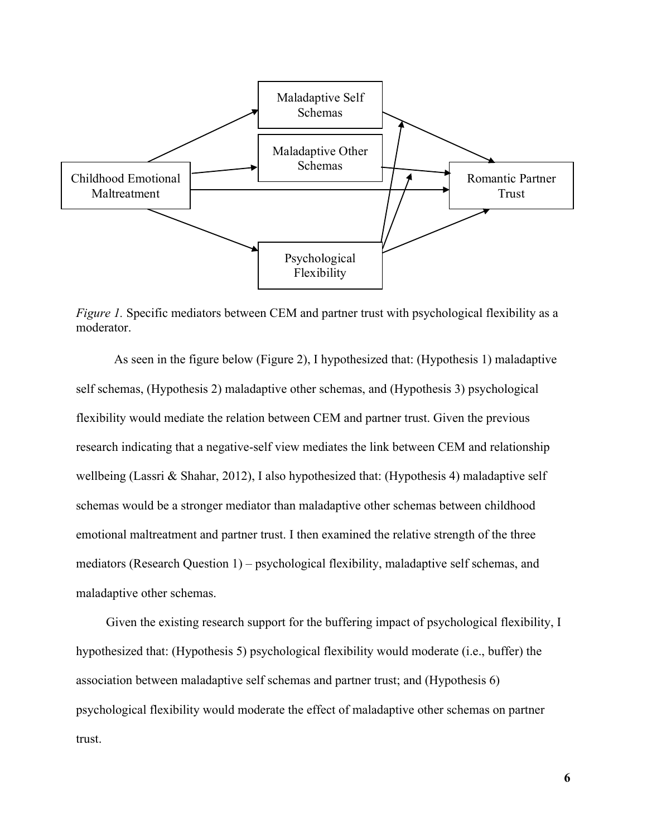

*Figure 1.* Specific mediators between CEM and partner trust with psychological flexibility as a moderator.

As seen in the figure below (Figure 2), I hypothesized that: (Hypothesis 1) maladaptive self schemas, (Hypothesis 2) maladaptive other schemas, and (Hypothesis 3) psychological flexibility would mediate the relation between CEM and partner trust. Given the previous research indicating that a negative-self view mediates the link between CEM and relationship wellbeing (Lassri & Shahar, 2012), I also hypothesized that: (Hypothesis 4) maladaptive self schemas would be a stronger mediator than maladaptive other schemas between childhood emotional maltreatment and partner trust. I then examined the relative strength of the three mediators (Research Question 1) – psychological flexibility, maladaptive self schemas, and maladaptive other schemas.

Given the existing research support for the buffering impact of psychological flexibility, I hypothesized that: (Hypothesis 5) psychological flexibility would moderate (i.e., buffer) the association between maladaptive self schemas and partner trust; and (Hypothesis 6) psychological flexibility would moderate the effect of maladaptive other schemas on partner trust.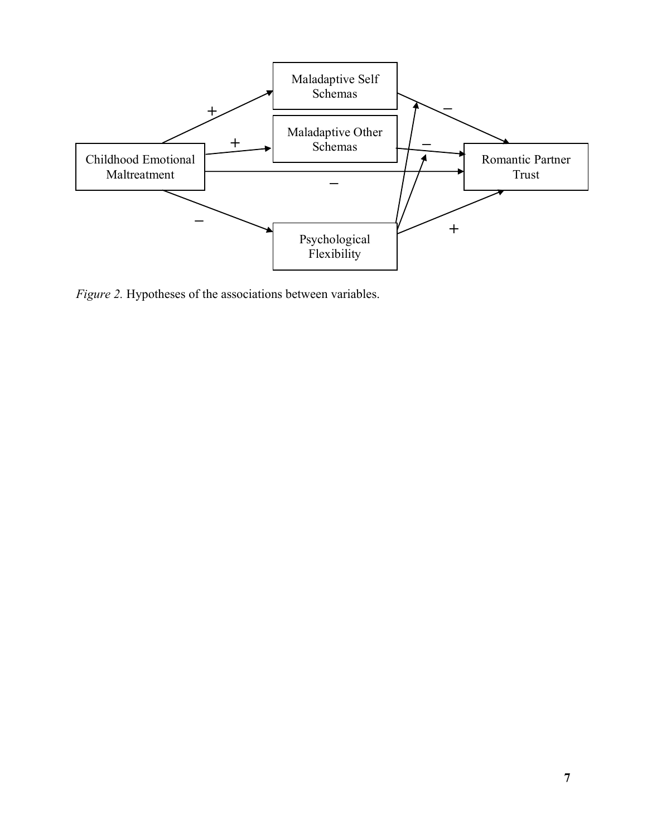

*Figure 2.* Hypotheses of the associations between variables.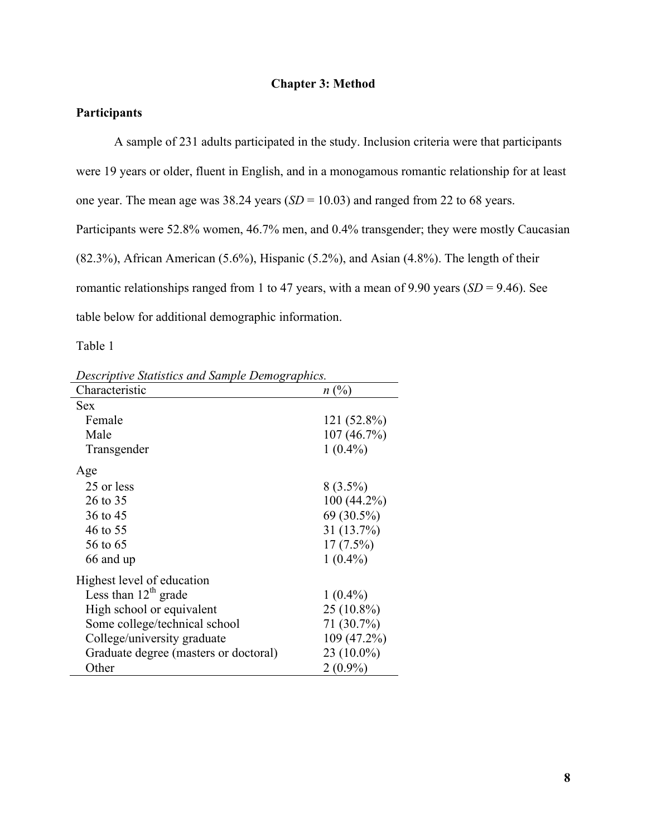## **Chapter 3: Method**

## **Participants**

A sample of 231 adults participated in the study. Inclusion criteria were that participants

were 19 years or older, fluent in English, and in a monogamous romantic relationship for at least

one year. The mean age was 38.24 years (*SD* = 10.03) and ranged from 22 to 68 years.

Participants were 52.8% women, 46.7% men, and 0.4% transgender; they were mostly Caucasian

(82.3%), African American (5.6%), Hispanic (5.2%), and Asian (4.8%). The length of their

romantic relationships ranged from 1 to 47 years, with a mean of 9.90 years (*SD* = 9.46). See

table below for additional demographic information.

Table 1

*Descriptive Statistics and Sample Demographics.*

| Descriptive statistics and sample Demographies. |               |
|-------------------------------------------------|---------------|
| Characteristic                                  | n (%)         |
| <b>Sex</b>                                      |               |
| Female                                          | 121 (52.8%)   |
| Male                                            | 107(46.7%)    |
| Transgender                                     | $1(0.4\%)$    |
| Age                                             |               |
| 25 or less                                      | $8(3.5\%)$    |
| 26 to 35                                        | $100(44.2\%)$ |
| 36 to 45                                        | 69 (30.5%)    |
| 46 to 55                                        | 31 (13.7%)    |
| 56 to 65                                        | $17(7.5\%)$   |
| 66 and up                                       | $1(0.4\%)$    |
| Highest level of education                      |               |
| Less than $12^{th}$ grade                       | $1(0.4\%)$    |
| High school or equivalent                       | $25(10.8\%)$  |
| Some college/technical school                   | 71 (30.7%)    |
| College/university graduate                     | 109 (47.2%)   |
| Graduate degree (masters or doctoral)           | $23(10.0\%)$  |
| Other                                           | $2(0.9\%)$    |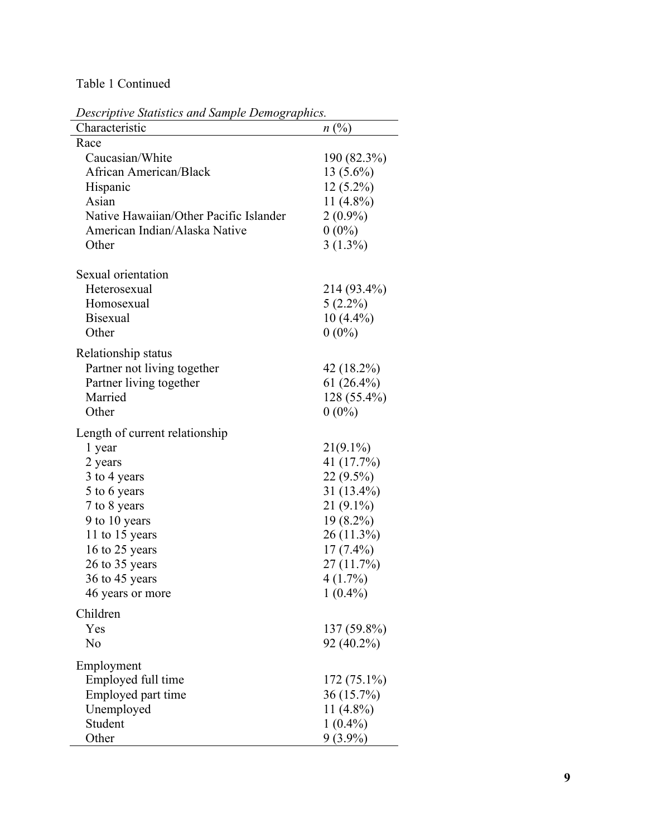# Table 1 Continued

*Descriptive Statistics and Sample Demographics .*

| Characteristic                         | n (%)         |
|----------------------------------------|---------------|
| Race                                   |               |
| Caucasian/White                        | 190 (82.3%)   |
| African American/Black                 | $13(5.6\%)$   |
| Hispanic                               | $12(5.2\%)$   |
| Asian                                  | 11 $(4.8\%)$  |
| Native Hawaiian/Other Pacific Islander | $2(0.9\%)$    |
| American Indian/Alaska Native          | $0(0\%)$      |
| Other                                  | $3(1.3\%)$    |
| Sexual orientation                     |               |
| Heterosexual                           | 214 (93.4%)   |
| Homosexual                             | $5(2.2\%)$    |
| <b>Bisexual</b>                        | $10(4.4\%)$   |
| Other                                  | $0(0\%)$      |
| Relationship status                    |               |
| Partner not living together            | 42 (18.2%)    |
| Partner living together                | $61(26.4\%)$  |
| Married                                | 128 (55.4%)   |
| Other                                  | $0(0\%)$      |
| Length of current relationship         |               |
| 1 year                                 | $21(9.1\%)$   |
| 2 years                                | 41 (17.7%)    |
| 3 to 4 years                           | 22 (9.5%)     |
| 5 to 6 years                           | 31 (13.4%)    |
| 7 to 8 years                           | $21(9.1\%)$   |
| 9 to 10 years                          | $19(8.2\%)$   |
| 11 to 15 years                         | 26 (11.3%)    |
| 16 to 25 years                         | $17(7.4\%)$   |
| 26 to 35 years                         | 27 (11.7%)    |
| 36 to 45 years                         | 4(1.7%)       |
| 46 years or more                       | $1(0.4\%)$    |
| Children                               |               |
| Yes                                    | 137 (59.8%)   |
| N <sub>0</sub>                         | 92 (40.2%)    |
| Employment                             |               |
| Employed full time                     | $172(75.1\%)$ |
| Employed part time                     | 36 (15.7%)    |
| Unemployed                             | $11(4.8\%)$   |
| Student                                | $1(0.4\%)$    |
| Other                                  | $9(3.9\%)$    |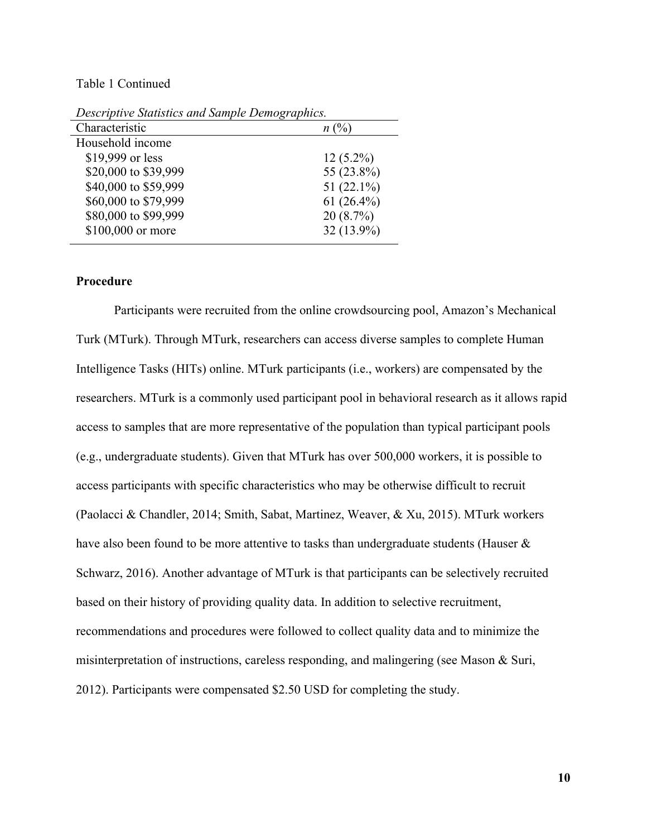#### Table 1 Continued

| $D$ cocher per resolution of the sample $D$ check appears. |               |
|------------------------------------------------------------|---------------|
| Characteristic                                             | $n(y_0)$      |
| Household income                                           |               |
| \$19,999 or less                                           | $12(5.2\%)$   |
| \$20,000 to \$39,999                                       | 55 (23.8%)    |
| \$40,000 to \$59,999                                       | 51 $(22.1\%)$ |
| \$60,000 to \$79,999                                       | 61 $(26.4\%)$ |
| \$80,000 to \$99,999                                       | 20(8.7%)      |
| \$100,000 or more                                          | 32 (13.9%)    |
|                                                            |               |

*Descriptive Statistics and Sample Demographics.*

#### **Procedure**

Participants were recruited from the online crowdsourcing pool, Amazon's Mechanical Turk (MTurk). Through MTurk, researchers can access diverse samples to complete Human Intelligence Tasks (HITs) online. MTurk participants (i.e., workers) are compensated by the researchers. MTurk is a commonly used participant pool in behavioral research as it allows rapid access to samples that are more representative of the population than typical participant pools (e.g., undergraduate students). Given that MTurk has over 500,000 workers, it is possible to access participants with specific characteristics who may be otherwise difficult to recruit (Paolacci & Chandler, 2014; Smith, Sabat, Martinez, Weaver, & Xu, 2015). MTurk workers have also been found to be more attentive to tasks than undergraduate students (Hauser & Schwarz, 2016). Another advantage of MTurk is that participants can be selectively recruited based on their history of providing quality data. In addition to selective recruitment, recommendations and procedures were followed to collect quality data and to minimize the misinterpretation of instructions, careless responding, and malingering (see Mason & Suri, 2012). Participants were compensated \$2.50 USD for completing the study.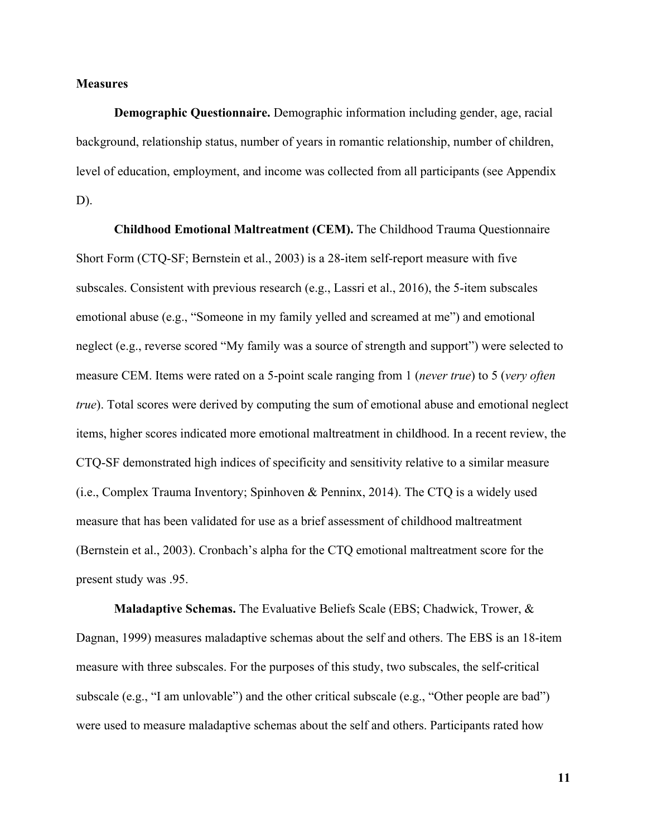#### **Measures**

**Demographic Questionnaire.** Demographic information including gender, age, racial background, relationship status, number of years in romantic relationship, number of children, level of education, employment, and income was collected from all participants (see Appendix D).

**Childhood Emotional Maltreatment (CEM).** The Childhood Trauma Questionnaire Short Form (CTQ-SF; Bernstein et al., 2003) is a 28-item self-report measure with five subscales. Consistent with previous research (e.g., Lassri et al., 2016), the 5-item subscales emotional abuse (e.g., "Someone in my family yelled and screamed at me") and emotional neglect (e.g., reverse scored "My family was a source of strength and support") were selected to measure CEM. Items were rated on a 5-point scale ranging from 1 (*never true*) to 5 (*very often true*). Total scores were derived by computing the sum of emotional abuse and emotional neglect items, higher scores indicated more emotional maltreatment in childhood. In a recent review, the CTQ-SF demonstrated high indices of specificity and sensitivity relative to a similar measure (i.e., Complex Trauma Inventory; Spinhoven & Penninx, 2014). The CTQ is a widely used measure that has been validated for use as a brief assessment of childhood maltreatment (Bernstein et al., 2003). Cronbach's alpha for the CTQ emotional maltreatment score for the present study was .95.

**Maladaptive Schemas.** The Evaluative Beliefs Scale (EBS; Chadwick, Trower, & Dagnan, 1999) measures maladaptive schemas about the self and others. The EBS is an 18-item measure with three subscales. For the purposes of this study, two subscales, the self-critical subscale (e.g., "I am unlovable") and the other critical subscale (e.g., "Other people are bad") were used to measure maladaptive schemas about the self and others. Participants rated how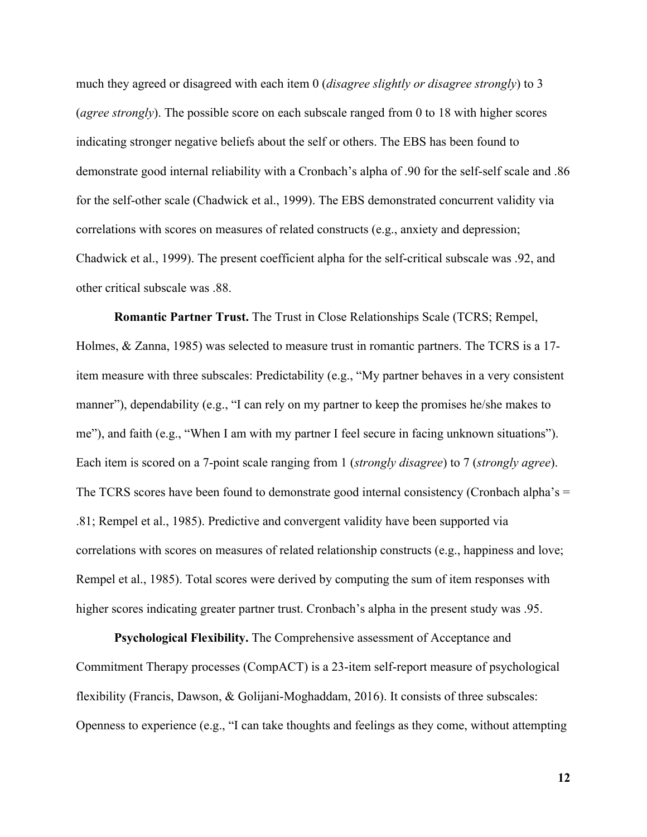much they agreed or disagreed with each item 0 (*disagree slightly or disagree strongly*) to 3 (*agree strongly*). The possible score on each subscale ranged from 0 to 18 with higher scores indicating stronger negative beliefs about the self or others. The EBS has been found to demonstrate good internal reliability with a Cronbach's alpha of .90 for the self-self scale and .86 for the self-other scale (Chadwick et al., 1999). The EBS demonstrated concurrent validity via correlations with scores on measures of related constructs (e.g., anxiety and depression; Chadwick et al., 1999). The present coefficient alpha for the self-critical subscale was .92, and other critical subscale was .88.

**Romantic Partner Trust.** The Trust in Close Relationships Scale (TCRS; Rempel, Holmes, & Zanna, 1985) was selected to measure trust in romantic partners. The TCRS is a 17 item measure with three subscales: Predictability (e.g., "My partner behaves in a very consistent manner"), dependability (e.g., "I can rely on my partner to keep the promises he/she makes to me"), and faith (e.g., "When I am with my partner I feel secure in facing unknown situations"). Each item is scored on a 7-point scale ranging from 1 (*strongly disagree*) to 7 (*strongly agree*). The TCRS scores have been found to demonstrate good internal consistency (Cronbach alpha's = .81; Rempel et al., 1985). Predictive and convergent validity have been supported via correlations with scores on measures of related relationship constructs (e.g., happiness and love; Rempel et al., 1985). Total scores were derived by computing the sum of item responses with higher scores indicating greater partner trust. Cronbach's alpha in the present study was .95.

**Psychological Flexibility.** The Comprehensive assessment of Acceptance and Commitment Therapy processes (CompACT) is a 23-item self-report measure of psychological flexibility (Francis, Dawson, & Golijani-Moghaddam, 2016). It consists of three subscales: Openness to experience (e.g., "I can take thoughts and feelings as they come, without attempting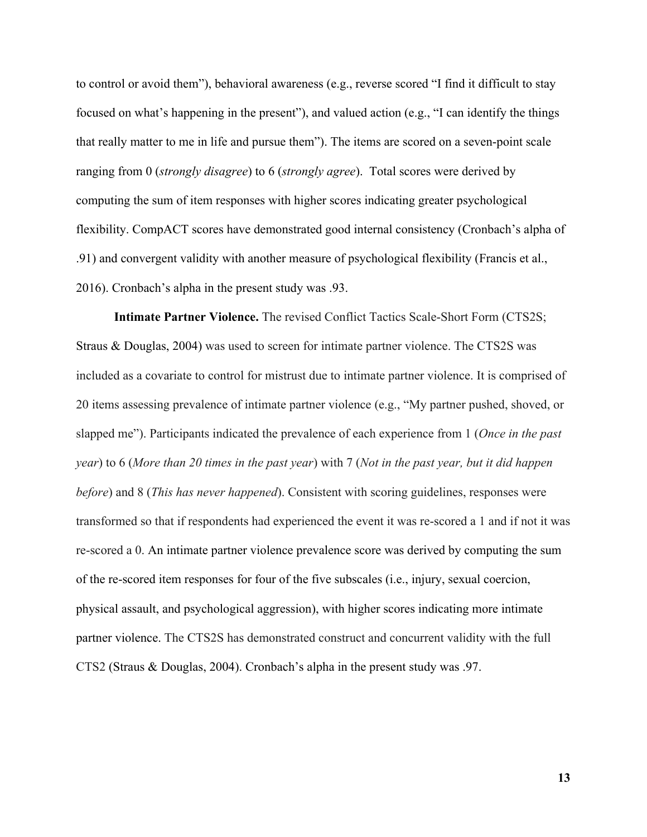to control or avoid them"), behavioral awareness (e.g., reverse scored "I find it difficult to stay focused on what's happening in the present"), and valued action (e.g., "I can identify the things that really matter to me in life and pursue them"). The items are scored on a seven-point scale ranging from 0 (*strongly disagree*) to 6 (*strongly agree*). Total scores were derived by computing the sum of item responses with higher scores indicating greater psychological flexibility. CompACT scores have demonstrated good internal consistency (Cronbach's alpha of .91) and convergent validity with another measure of psychological flexibility (Francis et al., 2016). Cronbach's alpha in the present study was .93.

**Intimate Partner Violence.** The revised Conflict Tactics Scale-Short Form (CTS2S; Straus & Douglas, 2004) was used to screen for intimate partner violence. The CTS2S was included as a covariate to control for mistrust due to intimate partner violence. It is comprised of 20 items assessing prevalence of intimate partner violence (e.g., "My partner pushed, shoved, or slapped me"). Participants indicated the prevalence of each experience from 1 (*Once in the past year*) to 6 (*More than 20 times in the past year*) with 7 (*Not in the past year, but it did happen before*) and 8 (*This has never happened*). Consistent with scoring guidelines, responses were transformed so that if respondents had experienced the event it was re-scored a 1 and if not it was re-scored a 0. An intimate partner violence prevalence score was derived by computing the sum of the re-scored item responses for four of the five subscales (i.e., injury, sexual coercion, physical assault, and psychological aggression), with higher scores indicating more intimate partner violence. The CTS2S has demonstrated construct and concurrent validity with the full CTS2 (Straus & Douglas, 2004). Cronbach's alpha in the present study was .97.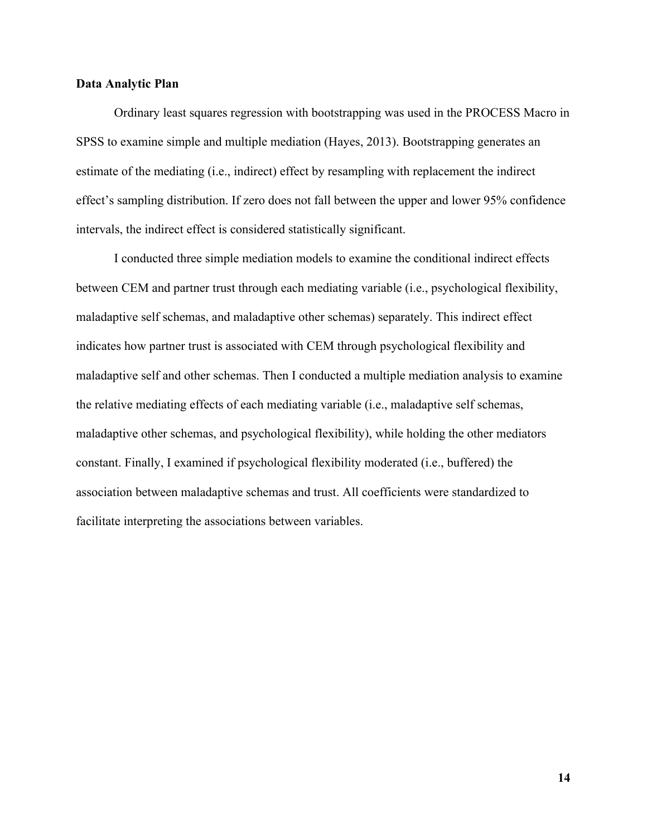#### **Data Analytic Plan**

Ordinary least squares regression with bootstrapping was used in the PROCESS Macro in SPSS to examine simple and multiple mediation (Hayes, 2013). Bootstrapping generates an estimate of the mediating (i.e., indirect) effect by resampling with replacement the indirect effect's sampling distribution. If zero does not fall between the upper and lower 95% confidence intervals, the indirect effect is considered statistically significant.

I conducted three simple mediation models to examine the conditional indirect effects between CEM and partner trust through each mediating variable (i.e., psychological flexibility, maladaptive self schemas, and maladaptive other schemas) separately. This indirect effect indicates how partner trust is associated with CEM through psychological flexibility and maladaptive self and other schemas. Then I conducted a multiple mediation analysis to examine the relative mediating effects of each mediating variable (i.e., maladaptive self schemas, maladaptive other schemas, and psychological flexibility), while holding the other mediators constant. Finally, I examined if psychological flexibility moderated (i.e., buffered) the association between maladaptive schemas and trust. All coefficients were standardized to facilitate interpreting the associations between variables.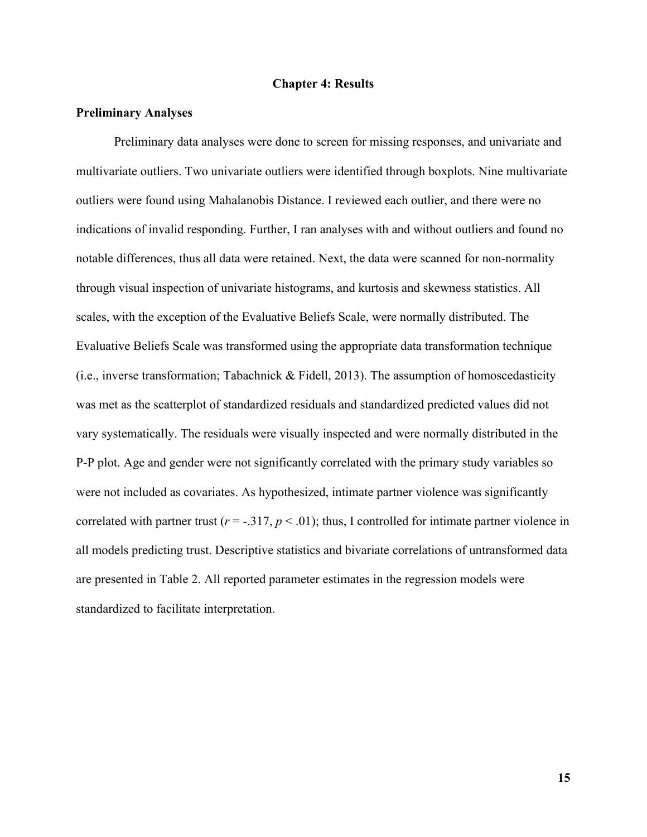#### **Chapter 4: Results**

#### **Preliminary Analyses**

Preliminary data analyses were done to screen for missing responses, and univariate and multivariate outliers. Two univariate outliers were identified through boxplots. Nine multivariate outliers were found using Mahalanobis Distance. I reviewed each outlier, and there were no indications of invalid responding. Further, I ran analyses with and without outliers and found no notable differences, thus all data were retained. Next, the data were scanned for non-normality through visual inspection of univariate histograms, and kurtosis and skewness statistics. All scales, with the exception of the Evaluative Beliefs Scale, were normally distributed. The Evaluative Beliefs Scale was transformed using the appropriate data transformation technique (i.e., inverse transformation; Tabachnick & Fidell, 2013). The assumption of homoscedasticity was met as the scatterplot of standardized residuals and standardized predicted values did not vary systematically. The residuals were visually inspected and were normally distributed in the P-P plot. Age and gender were not significantly correlated with the primary study variables so were not included as covariates. As hypothesized, intimate partner violence was significantly correlated with partner trust ( $r = -.317, p < .01$ ); thus, I controlled for intimate partner violence in all models predicting trust. Descriptive statistics and bivariate correlations of untransformed data are presented in Table 2. All reported parameter estimates in the regression models were standardized to facilitate interpretation.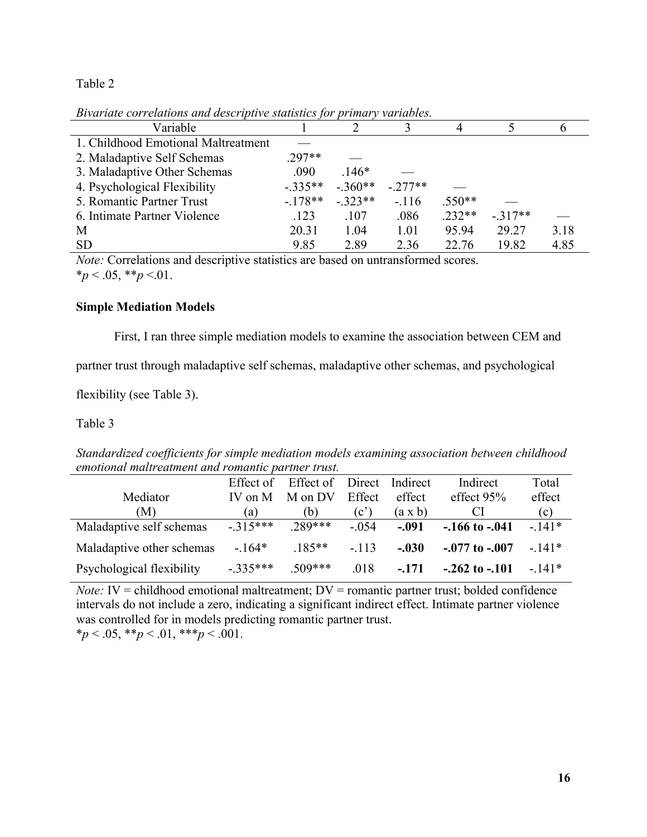Table 2

| Divariate correlations and descriptive statistics for primary variables. |          |           |          |          |          |      |  |  |  |
|--------------------------------------------------------------------------|----------|-----------|----------|----------|----------|------|--|--|--|
| Variable                                                                 |          |           |          | 4        |          |      |  |  |  |
| 1. Childhood Emotional Maltreatment                                      |          |           |          |          |          |      |  |  |  |
| 2. Maladaptive Self Schemas                                              | $297**$  |           |          |          |          |      |  |  |  |
| 3. Maladaptive Other Schemas                                             | .090     | $.146*$   |          |          |          |      |  |  |  |
| 4. Psychological Flexibility                                             | $-335**$ | $-.360**$ | $-277**$ |          |          |      |  |  |  |
| 5. Romantic Partner Trust                                                | $-178**$ | $-323**$  | $-.116$  | $.550**$ |          |      |  |  |  |
| 6. Intimate Partner Violence                                             | .123     | .107      | .086     | $.232**$ | $-317**$ |      |  |  |  |
| M                                                                        | 20.31    | 1.04      | 1.01     | 95.94    | 29.27    | 3.18 |  |  |  |
| <b>SD</b>                                                                | 9.85     | 2.89      | 2.36     | 22.76    | 19.82    | 4.85 |  |  |  |

*Bivariate correlations and descriptive statistics for primary variables.*

*Note:* Correlations and descriptive statistics are based on untransformed scores.  $*_{p}$  < .05,  $*_{p}$  < .01.

### **Simple Mediation Models**

First, I ran three simple mediation models to examine the association between CEM and

partner trust through maladaptive self schemas, maladaptive other schemas, and psychological

flexibility (see Table 3).

Table 3

*Standardized coefficients for simple mediation models examining association between childhood emotional maltreatment and romantic partner trust.*

|                           | Effect of | Effect of Direct |         | Indirect | Indirect           | Total   |
|---------------------------|-----------|------------------|---------|----------|--------------------|---------|
| Mediator                  | IV on $M$ | M on DV          | Effect  | effect   | effect $95%$       | effect  |
| (M)                       | (a)       | (b)              | (c')    | (a x b)  | CI.                | (c)     |
| Maladaptive self schemas  | $-315***$ | 289***           | $-0.54$ | $-.091$  | $-166$ to $-041$   | $-141*$ |
| Maladaptive other schemas | $-164*$   | $.185**$         | $-113$  | $-.030$  | $-.077$ to $-.007$ | $-141*$ |
| Psychological flexibility | $-335***$ | $509***$         | .018    | $-171$   | $-.262$ to $-.101$ | $-141*$ |

*Note:* IV = childhood emotional maltreatment; DV = romantic partner trust; bolded confidence intervals do not include a zero, indicating a significant indirect effect. Intimate partner violence was controlled for in models predicting romantic partner trust.

 $*_p$  < .05,  $*_p$  < .01,  $**_p$  < .001.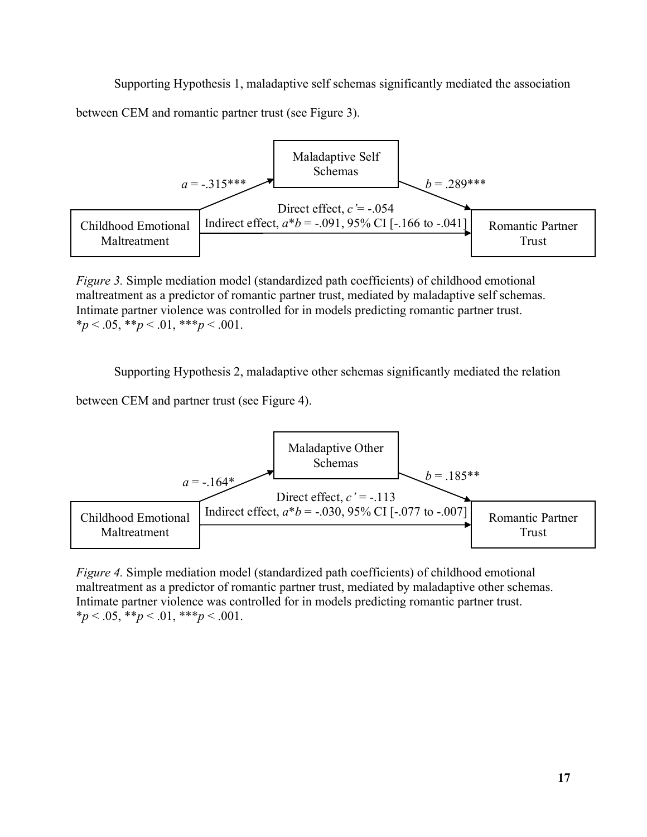Supporting Hypothesis 1, maladaptive self schemas significantly mediated the association between CEM and romantic partner trust (see Figure 3).



*Figure 3.* Simple mediation model (standardized path coefficients) of childhood emotional maltreatment as a predictor of romantic partner trust, mediated by maladaptive self schemas. Intimate partner violence was controlled for in models predicting romantic partner trust.  $**p* < .05, ***p* < .01, ***p* < .001.$ 

Supporting Hypothesis 2, maladaptive other schemas significantly mediated the relation

between CEM and partner trust (see Figure 4).



*Figure 4.* Simple mediation model (standardized path coefficients) of childhood emotional maltreatment as a predictor of romantic partner trust, mediated by maladaptive other schemas. Intimate partner violence was controlled for in models predicting romantic partner trust.  $**p* < .05, ***p* < .01, ***p* < .001.$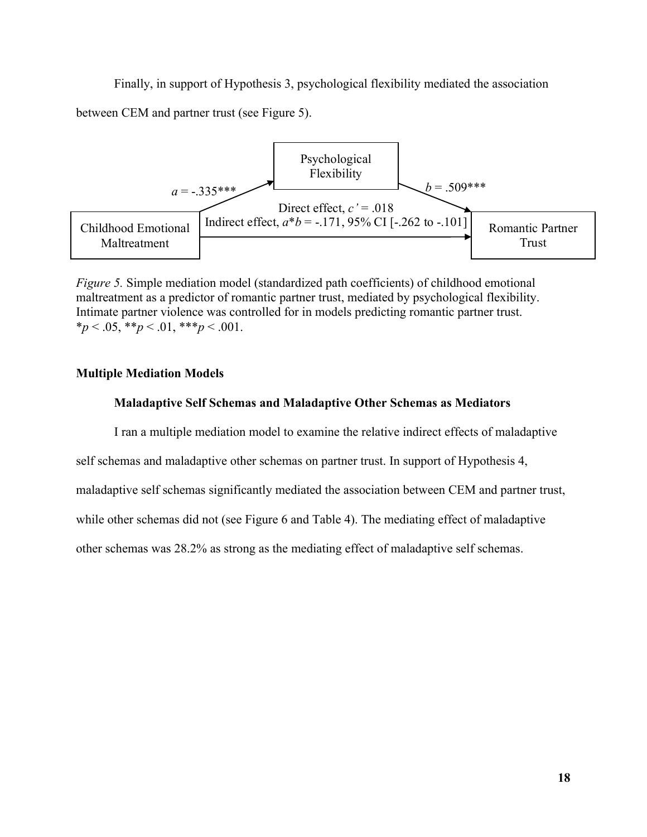Finally, in support of Hypothesis 3, psychological flexibility mediated the association between CEM and partner trust (see Figure 5).



*Figure 5.* Simple mediation model (standardized path coefficients) of childhood emotional maltreatment as a predictor of romantic partner trust, mediated by psychological flexibility. Intimate partner violence was controlled for in models predicting romantic partner trust.  $*_p$  < .05,  $*_p$  < .01,  $**_p$  < .001.

### **Multiple Mediation Models**

#### **Maladaptive Self Schemas and Maladaptive Other Schemas as Mediators**

I ran a multiple mediation model to examine the relative indirect effects of maladaptive

self schemas and maladaptive other schemas on partner trust. In support of Hypothesis 4,

maladaptive self schemas significantly mediated the association between CEM and partner trust,

while other schemas did not (see Figure 6 and Table 4). The mediating effect of maladaptive

other schemas was 28.2% as strong as the mediating effect of maladaptive self schemas.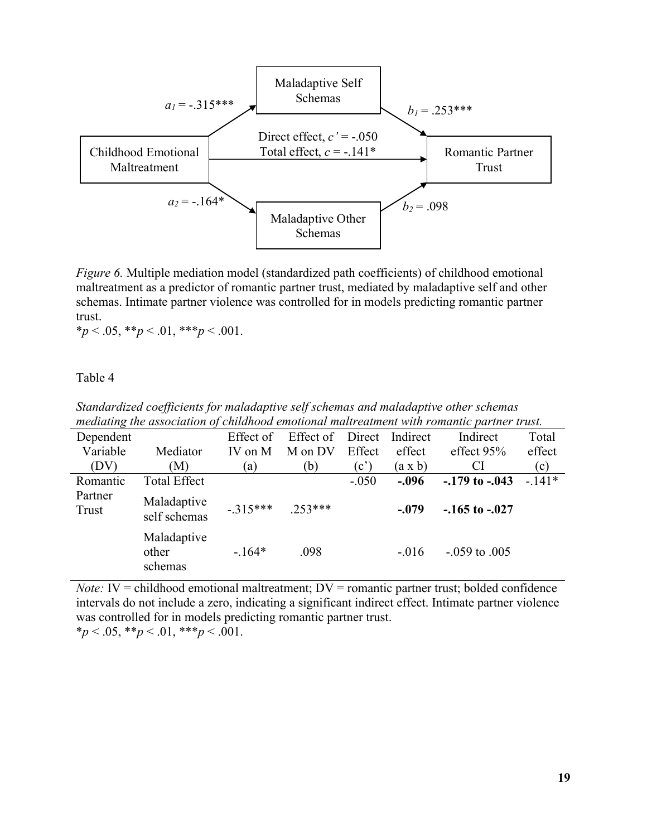

*Figure 6.* Multiple mediation model (standardized path coefficients) of childhood emotional maltreatment as a predictor of romantic partner trust, mediated by maladaptive self and other schemas. Intimate partner violence was controlled for in models predicting romantic partner trust.

 $**p* < .05, ***p* < .01, ****p* < .001.$ 

Table 4

*Standardized coefficients for maladaptive self schemas and maladaptive other schemas mediating the association of childhood emotional maltreatment with romantic partner trust.*

| Dependent        |                                 | Effect of | Effect of | Direct  | Indirect       | Indirect            | Total   |
|------------------|---------------------------------|-----------|-----------|---------|----------------|---------------------|---------|
| Variable         | Mediator                        | IV on M   | M on DV   | Effect  | effect         | effect $95%$        | effect  |
| (DV)             | (M)                             | (a)       | (b)       | (c')    | $(a \times b)$ | <b>CI</b>           | (c)     |
| Romantic         | <b>Total Effect</b>             |           |           | $-.050$ | $-.096$        | $-179$ to $-043$    | $-141*$ |
| Partner<br>Trust | Maladaptive<br>self schemas     | $-315***$ | $253***$  |         | $-.079$        | $-.165$ to $-.027$  |         |
|                  | Maladaptive<br>other<br>schemas | $-164*$   | .098      |         | $-.016$        | $-0.059$ to $0.005$ |         |

*Note:*  $IV =$  childhood emotional maltreatment;  $DV =$  romantic partner trust; bolded confidence intervals do not include a zero, indicating a significant indirect effect. Intimate partner violence was controlled for in models predicting romantic partner trust.  $*_p$  < .05,  $*_p$  < .01,  $**_p$  < .001.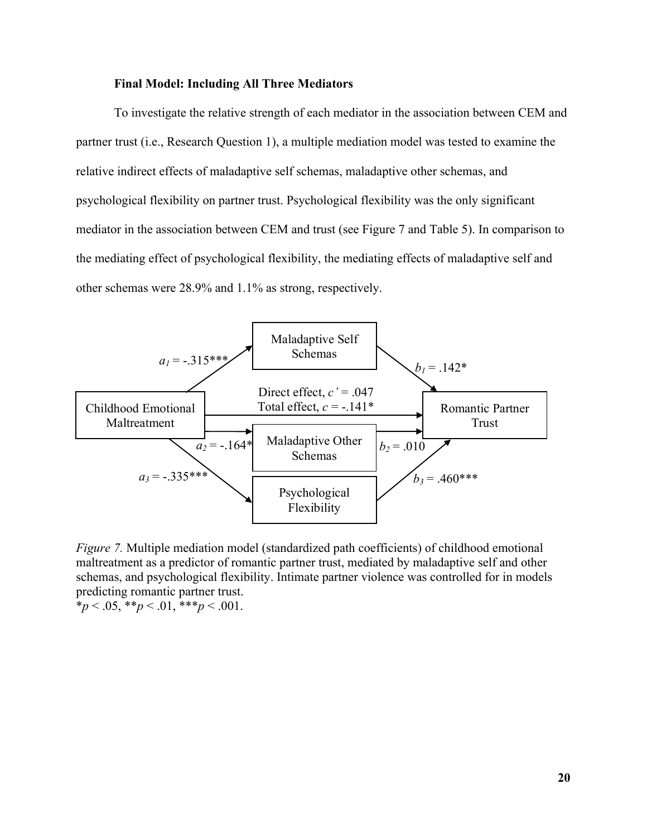#### **Final Model: Including All Three Mediators**

To investigate the relative strength of each mediator in the association between CEM and partner trust (i.e., Research Question 1), a multiple mediation model was tested to examine the relative indirect effects of maladaptive self schemas, maladaptive other schemas, and psychological flexibility on partner trust. Psychological flexibility was the only significant mediator in the association between CEM and trust (see Figure 7 and Table 5). In comparison to the mediating effect of psychological flexibility, the mediating effects of maladaptive self and other schemas were 28.9% and 1.1% as strong, respectively.



*Figure 7.* Multiple mediation model (standardized path coefficients) of childhood emotional maltreatment as a predictor of romantic partner trust, mediated by maladaptive self and other schemas, and psychological flexibility. Intimate partner violence was controlled for in models predicting romantic partner trust.  $*_p$  < .05,  $*_p$  < .01,  $**_p$  < .001.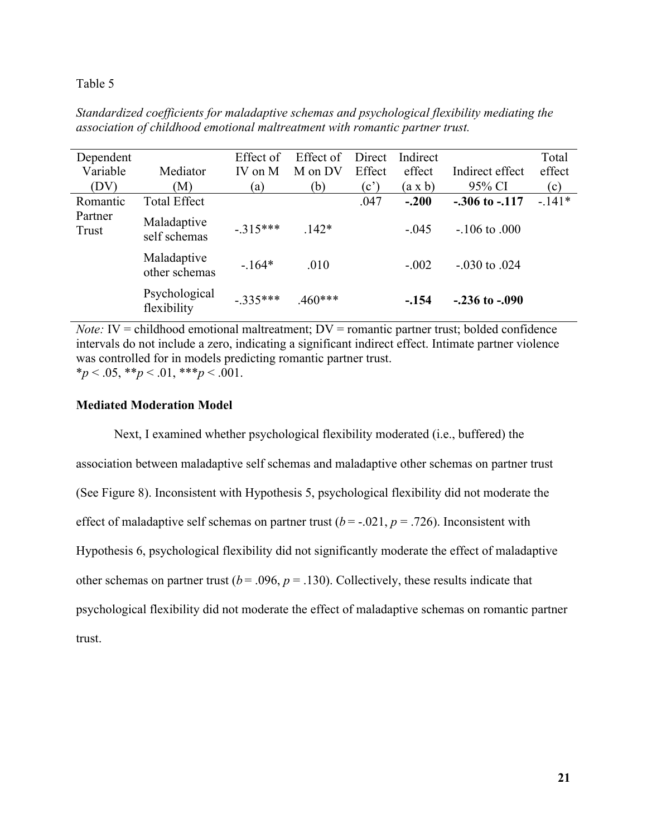#### Table 5

*Standardized coefficients for maladaptive schemas and psychological flexibility mediating the association of childhood emotional maltreatment with romantic partner trust.*

| Dependent        |                              | Effect of | Effect of | Direct | Indirect       |                      | Total   |
|------------------|------------------------------|-----------|-----------|--------|----------------|----------------------|---------|
| Variable         | Mediator                     | IV on M   | M on DV   | Effect | effect         | Indirect effect      | effect  |
| (DV)             | (M)                          | (a)       | (b)       | (c')   | $(a \times b)$ | 95% CI               | (c)     |
| Romantic         | <b>Total Effect</b>          |           |           | .047   | $-.200$        | $-0.306$ to $-0.117$ | $-141*$ |
| Partner<br>Trust | Maladaptive<br>self schemas  | $-315***$ | $142*$    |        | $-.045$        | $-106$ to 000        |         |
|                  | Maladaptive<br>other schemas | $-164*$   | .010      |        | $-.002$        | $-.030$ to $.024$    |         |
|                  | Psychological<br>flexibility | $-335***$ | $460***$  |        | $-.154$        | $-.236$ to $-.090$   |         |

*Note:*  $IV =$  childhood emotional maltreatment;  $DV =$  romantic partner trust; bolded confidence intervals do not include a zero, indicating a significant indirect effect. Intimate partner violence was controlled for in models predicting romantic partner trust.  $*_{p}$  < .05,  $*_{p}$  < .01,  $*_{p}$  < .001.

#### **Mediated Moderation Model**

Next, I examined whether psychological flexibility moderated (i.e., buffered) the association between maladaptive self schemas and maladaptive other schemas on partner trust (See Figure 8). Inconsistent with Hypothesis 5, psychological flexibility did not moderate the effect of maladaptive self schemas on partner trust  $(b = -0.021, p = 0.726)$ . Inconsistent with Hypothesis 6, psychological flexibility did not significantly moderate the effect of maladaptive other schemas on partner trust ( $b = .096$ ,  $p = .130$ ). Collectively, these results indicate that psychological flexibility did not moderate the effect of maladaptive schemas on romantic partner trust.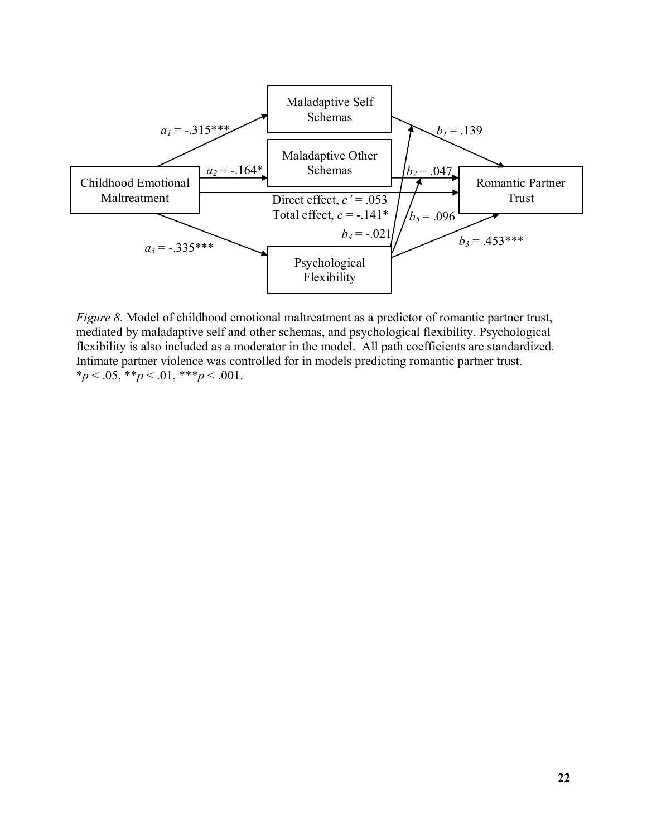

*Figure 8.* Model of childhood emotional maltreatment as a predictor of romantic partner trust, mediated by maladaptive self and other schemas, and psychological flexibility. Psychological flexibility is also included as a moderator in the model. All path coefficients are standardized. Intimate partner violence was controlled for in models predicting romantic partner trust.  $*_{p}$  < .05,  $*_{p}$  < .01,  $*_{p}$  < .001.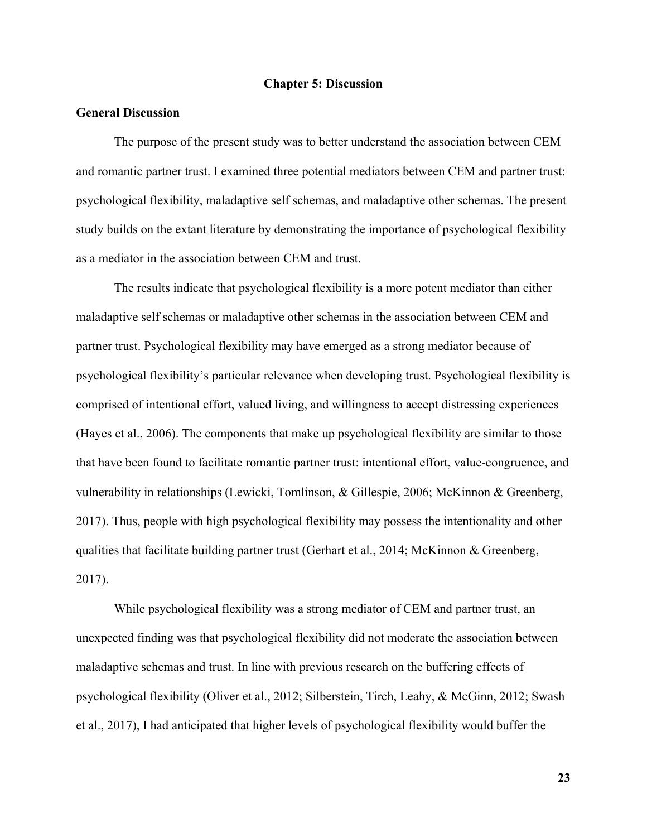#### **Chapter 5: Discussion**

## **General Discussion**

The purpose of the present study was to better understand the association between CEM and romantic partner trust. I examined three potential mediators between CEM and partner trust: psychological flexibility, maladaptive self schemas, and maladaptive other schemas. The present study builds on the extant literature by demonstrating the importance of psychological flexibility as a mediator in the association between CEM and trust.

The results indicate that psychological flexibility is a more potent mediator than either maladaptive self schemas or maladaptive other schemas in the association between CEM and partner trust. Psychological flexibility may have emerged as a strong mediator because of psychological flexibility's particular relevance when developing trust. Psychological flexibility is comprised of intentional effort, valued living, and willingness to accept distressing experiences (Hayes et al., 2006). The components that make up psychological flexibility are similar to those that have been found to facilitate romantic partner trust: intentional effort, value-congruence, and vulnerability in relationships (Lewicki, Tomlinson, & Gillespie, 2006; McKinnon & Greenberg, 2017). Thus, people with high psychological flexibility may possess the intentionality and other qualities that facilitate building partner trust (Gerhart et al., 2014; McKinnon & Greenberg, 2017).

While psychological flexibility was a strong mediator of CEM and partner trust, an unexpected finding was that psychological flexibility did not moderate the association between maladaptive schemas and trust. In line with previous research on the buffering effects of psychological flexibility (Oliver et al., 2012; Silberstein, Tirch, Leahy, & McGinn, 2012; Swash et al., 2017), I had anticipated that higher levels of psychological flexibility would buffer the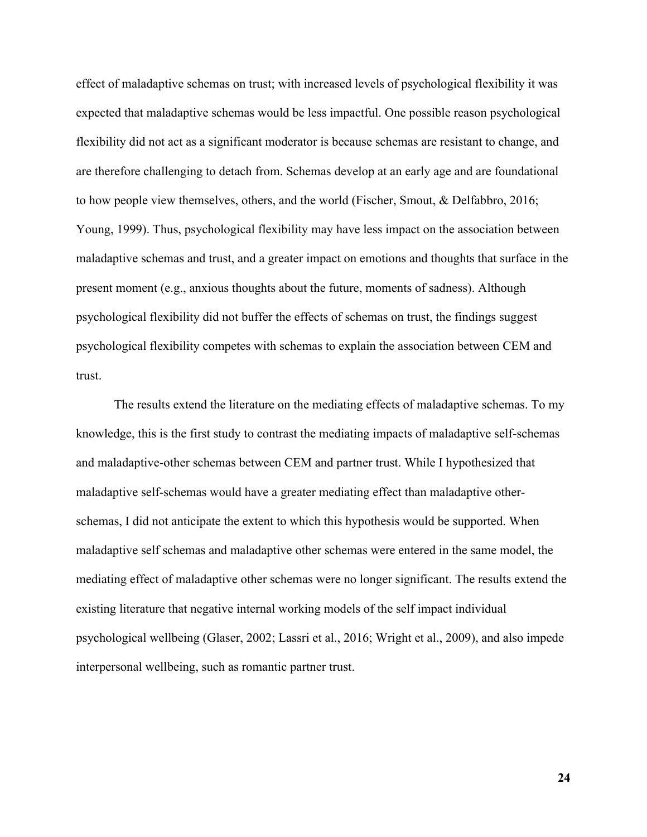effect of maladaptive schemas on trust; with increased levels of psychological flexibility it was expected that maladaptive schemas would be less impactful. One possible reason psychological flexibility did not act as a significant moderator is because schemas are resistant to change, and are therefore challenging to detach from. Schemas develop at an early age and are foundational to how people view themselves, others, and the world (Fischer, Smout, & Delfabbro, 2016; Young, 1999). Thus, psychological flexibility may have less impact on the association between maladaptive schemas and trust, and a greater impact on emotions and thoughts that surface in the present moment (e.g., anxious thoughts about the future, moments of sadness). Although psychological flexibility did not buffer the effects of schemas on trust, the findings suggest psychological flexibility competes with schemas to explain the association between CEM and trust.

The results extend the literature on the mediating effects of maladaptive schemas. To my knowledge, this is the first study to contrast the mediating impacts of maladaptive self-schemas and maladaptive-other schemas between CEM and partner trust. While I hypothesized that maladaptive self-schemas would have a greater mediating effect than maladaptive otherschemas, I did not anticipate the extent to which this hypothesis would be supported. When maladaptive self schemas and maladaptive other schemas were entered in the same model, the mediating effect of maladaptive other schemas were no longer significant. The results extend the existing literature that negative internal working models of the self impact individual psychological wellbeing (Glaser, 2002; Lassri et al., 2016; Wright et al., 2009), and also impede interpersonal wellbeing, such as romantic partner trust.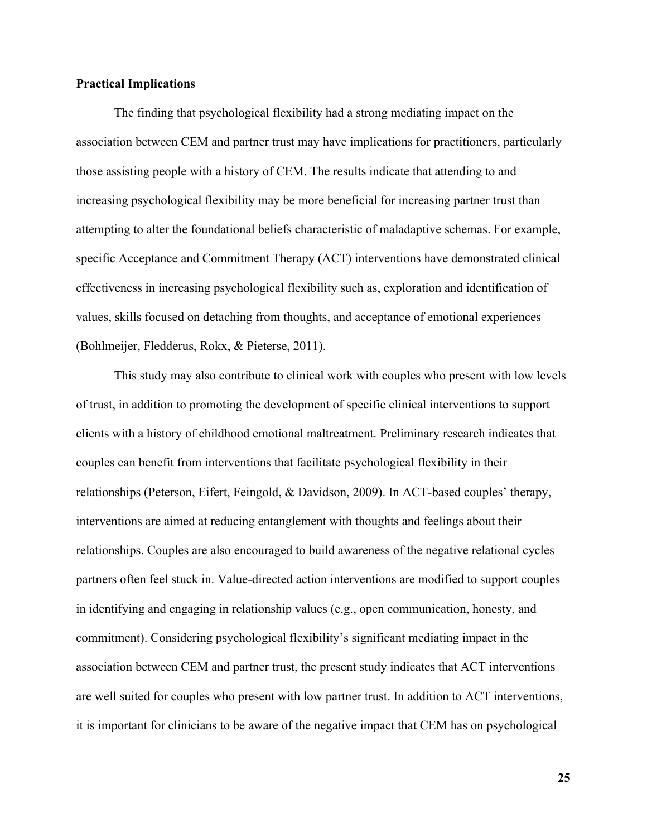#### **Practical Implications**

The finding that psychological flexibility had a strong mediating impact on the association between CEM and partner trust may have implications for practitioners, particularly those assisting people with a history of CEM. The results indicate that attending to and increasing psychological flexibility may be more beneficial for increasing partner trust than attempting to alter the foundational beliefs characteristic of maladaptive schemas. For example, specific Acceptance and Commitment Therapy (ACT) interventions have demonstrated clinical effectiveness in increasing psychological flexibility such as, exploration and identification of values, skills focused on detaching from thoughts, and acceptance of emotional experiences (Bohlmeijer, Fledderus, Rokx, & Pieterse, 2011).

This study may also contribute to clinical work with couples who present with low levels of trust, in addition to promoting the development of specific clinical interventions to support clients with a history of childhood emotional maltreatment. Preliminary research indicates that couples can benefit from interventions that facilitate psychological flexibility in their relationships (Peterson, Eifert, Feingold, & Davidson, 2009). In ACT-based couples' therapy, interventions are aimed at reducing entanglement with thoughts and feelings about their relationships. Couples are also encouraged to build awareness of the negative relational cycles partners often feel stuck in. Value-directed action interventions are modified to support couples in identifying and engaging in relationship values (e.g., open communication, honesty, and commitment). Considering psychological flexibility's significant mediating impact in the association between CEM and partner trust, the present study indicates that ACT interventions are well suited for couples who present with low partner trust. In addition to ACT interventions, it is important for clinicians to be aware of the negative impact that CEM has on psychological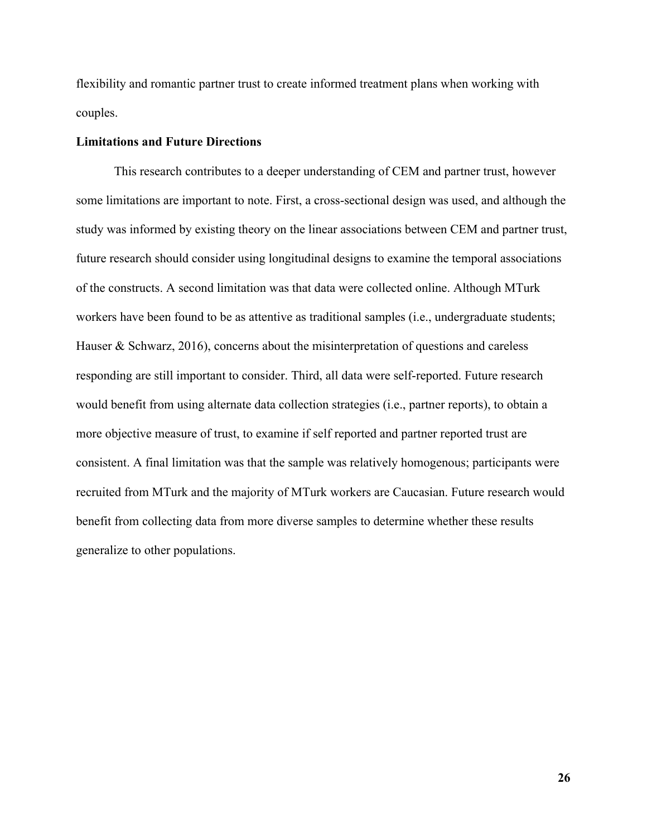flexibility and romantic partner trust to create informed treatment plans when working with couples.

#### **Limitations and Future Directions**

This research contributes to a deeper understanding of CEM and partner trust, however some limitations are important to note. First, a cross-sectional design was used, and although the study was informed by existing theory on the linear associations between CEM and partner trust, future research should consider using longitudinal designs to examine the temporal associations of the constructs. A second limitation was that data were collected online. Although MTurk workers have been found to be as attentive as traditional samples (i.e., undergraduate students; Hauser & Schwarz, 2016), concerns about the misinterpretation of questions and careless responding are still important to consider. Third, all data were self-reported. Future research would benefit from using alternate data collection strategies (i.e., partner reports), to obtain a more objective measure of trust, to examine if self reported and partner reported trust are consistent. A final limitation was that the sample was relatively homogenous; participants were recruited from MTurk and the majority of MTurk workers are Caucasian. Future research would benefit from collecting data from more diverse samples to determine whether these results generalize to other populations.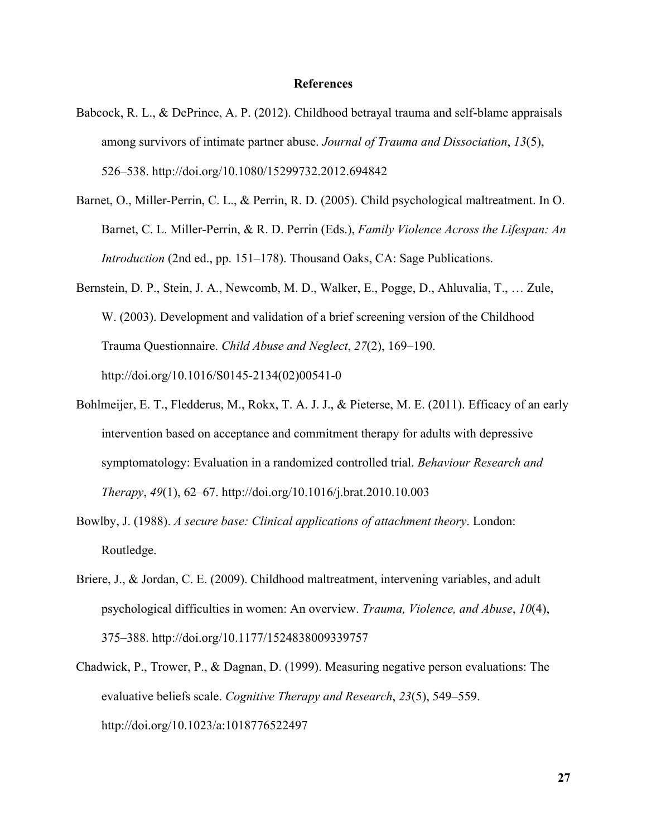#### **References**

- Babcock, R. L., & DePrince, A. P. (2012). Childhood betrayal trauma and self-blame appraisals among survivors of intimate partner abuse. *Journal of Trauma and Dissociation*, *13*(5), 526–538. http://doi.org/10.1080/15299732.2012.694842
- Barnet, O., Miller-Perrin, C. L., & Perrin, R. D. (2005). Child psychological maltreatment. In O. Barnet, C. L. Miller-Perrin, & R. D. Perrin (Eds.), *Family Violence Across the Lifespan: An Introduction* (2nd ed., pp. 151–178). Thousand Oaks, CA: Sage Publications.
- Bernstein, D. P., Stein, J. A., Newcomb, M. D., Walker, E., Pogge, D., Ahluvalia, T., … Zule, W. (2003). Development and validation of a brief screening version of the Childhood Trauma Questionnaire. *Child Abuse and Neglect*, *27*(2), 169–190. http://doi.org/10.1016/S0145-2134(02)00541-0
- Bohlmeijer, E. T., Fledderus, M., Rokx, T. A. J. J., & Pieterse, M. E. (2011). Efficacy of an early intervention based on acceptance and commitment therapy for adults with depressive symptomatology: Evaluation in a randomized controlled trial. *Behaviour Research and Therapy*, *49*(1), 62–67. http://doi.org/10.1016/j.brat.2010.10.003
- Bowlby, J. (1988). *A secure base: Clinical applications of attachment theory*. London: Routledge.
- Briere, J., & Jordan, C. E. (2009). Childhood maltreatment, intervening variables, and adult psychological difficulties in women: An overview. *Trauma, Violence, and Abuse*, *10*(4), 375–388. http://doi.org/10.1177/1524838009339757
- Chadwick, P., Trower, P., & Dagnan, D. (1999). Measuring negative person evaluations: The evaluative beliefs scale. *Cognitive Therapy and Research*, *23*(5), 549–559. http://doi.org/10.1023/a:1018776522497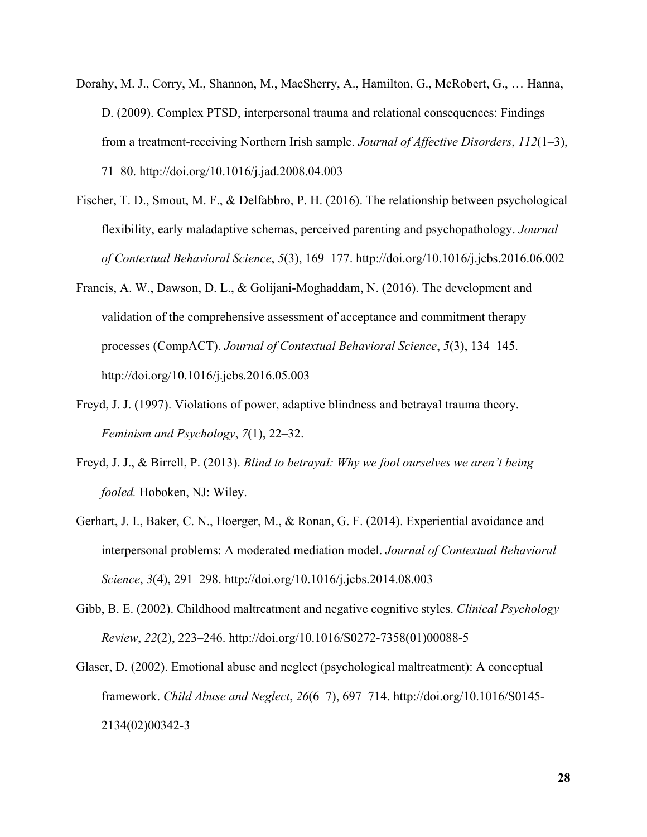- Dorahy, M. J., Corry, M., Shannon, M., MacSherry, A., Hamilton, G., McRobert, G., … Hanna, D. (2009). Complex PTSD, interpersonal trauma and relational consequences: Findings from a treatment-receiving Northern Irish sample. *Journal of Affective Disorders*, *112*(1–3), 71–80. http://doi.org/10.1016/j.jad.2008.04.003
- Fischer, T. D., Smout, M. F., & Delfabbro, P. H. (2016). The relationship between psychological flexibility, early maladaptive schemas, perceived parenting and psychopathology. *Journal of Contextual Behavioral Science*, *5*(3), 169–177. http://doi.org/10.1016/j.jcbs.2016.06.002
- Francis, A. W., Dawson, D. L., & Golijani-Moghaddam, N. (2016). The development and validation of the comprehensive assessment of acceptance and commitment therapy processes (CompACT). *Journal of Contextual Behavioral Science*, *5*(3), 134–145. http://doi.org/10.1016/j.jcbs.2016.05.003
- Freyd, J. J. (1997). Violations of power, adaptive blindness and betrayal trauma theory. *Feminism and Psychology*, *7*(1), 22–32.
- Freyd, J. J., & Birrell, P. (2013). *Blind to betrayal: Why we fool ourselves we aren't being fooled.* Hoboken, NJ: Wiley.
- Gerhart, J. I., Baker, C. N., Hoerger, M., & Ronan, G. F. (2014). Experiential avoidance and interpersonal problems: A moderated mediation model. *Journal of Contextual Behavioral Science*, *3*(4), 291–298. http://doi.org/10.1016/j.jcbs.2014.08.003
- Gibb, B. E. (2002). Childhood maltreatment and negative cognitive styles. *Clinical Psychology Review*, *22*(2), 223–246. http://doi.org/10.1016/S0272-7358(01)00088-5
- Glaser, D. (2002). Emotional abuse and neglect (psychological maltreatment): A conceptual framework. *Child Abuse and Neglect*, *26*(6–7), 697–714. http://doi.org/10.1016/S0145- 2134(02)00342-3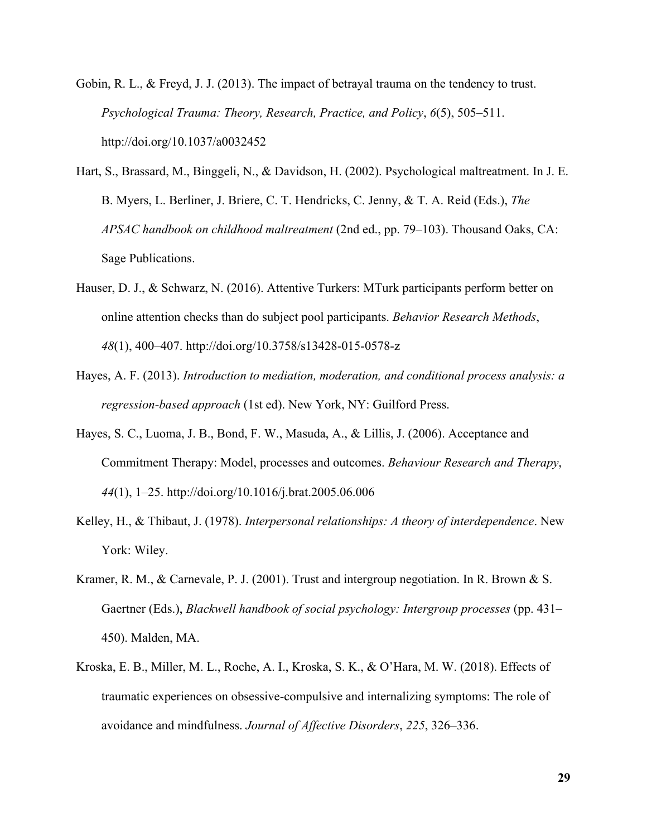- Gobin, R. L., & Freyd, J. J. (2013). The impact of betrayal trauma on the tendency to trust. *Psychological Trauma: Theory, Research, Practice, and Policy*, *6*(5), 505–511. http://doi.org/10.1037/a0032452
- Hart, S., Brassard, M., Binggeli, N., & Davidson, H. (2002). Psychological maltreatment. In J. E. B. Myers, L. Berliner, J. Briere, C. T. Hendricks, C. Jenny, & T. A. Reid (Eds.), *The APSAC handbook on childhood maltreatment* (2nd ed., pp. 79–103). Thousand Oaks, CA: Sage Publications.
- Hauser, D. J., & Schwarz, N. (2016). Attentive Turkers: MTurk participants perform better on online attention checks than do subject pool participants. *Behavior Research Methods*, *48*(1), 400–407. http://doi.org/10.3758/s13428-015-0578-z
- Hayes, A. F. (2013). *Introduction to mediation, moderation, and conditional process analysis: a regression-based approach* (1st ed). New York, NY: Guilford Press.
- Hayes, S. C., Luoma, J. B., Bond, F. W., Masuda, A., & Lillis, J. (2006). Acceptance and Commitment Therapy: Model, processes and outcomes. *Behaviour Research and Therapy*, *44*(1), 1–25. http://doi.org/10.1016/j.brat.2005.06.006
- Kelley, H., & Thibaut, J. (1978). *Interpersonal relationships: A theory of interdependence*. New York: Wiley.
- Kramer, R. M., & Carnevale, P. J. (2001). Trust and intergroup negotiation. In R. Brown & S. Gaertner (Eds.), *Blackwell handbook of social psychology: Intergroup processes* (pp. 431– 450). Malden, MA.
- Kroska, E. B., Miller, M. L., Roche, A. I., Kroska, S. K., & O'Hara, M. W. (2018). Effects of traumatic experiences on obsessive-compulsive and internalizing symptoms: The role of avoidance and mindfulness. *Journal of Affective Disorders*, *225*, 326–336.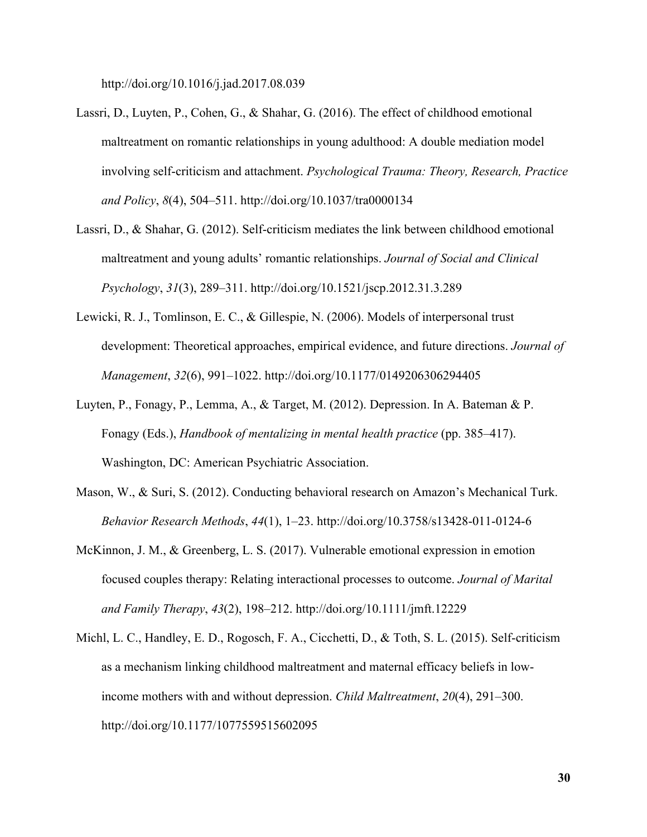http://doi.org/10.1016/j.jad.2017.08.039

- Lassri, D., Luyten, P., Cohen, G., & Shahar, G. (2016). The effect of childhood emotional maltreatment on romantic relationships in young adulthood: A double mediation model involving self-criticism and attachment. *Psychological Trauma: Theory, Research, Practice and Policy*, *8*(4), 504–511. http://doi.org/10.1037/tra0000134
- Lassri, D., & Shahar, G. (2012). Self-criticism mediates the link between childhood emotional maltreatment and young adults' romantic relationships. *Journal of Social and Clinical Psychology*, *31*(3), 289–311. http://doi.org/10.1521/jscp.2012.31.3.289
- Lewicki, R. J., Tomlinson, E. C., & Gillespie, N. (2006). Models of interpersonal trust development: Theoretical approaches, empirical evidence, and future directions. *Journal of Management*, *32*(6), 991–1022. http://doi.org/10.1177/0149206306294405
- Luyten, P., Fonagy, P., Lemma, A., & Target, M. (2012). Depression. In A. Bateman & P. Fonagy (Eds.), *Handbook of mentalizing in mental health practice* (pp. 385–417). Washington, DC: American Psychiatric Association.
- Mason, W., & Suri, S. (2012). Conducting behavioral research on Amazon's Mechanical Turk. *Behavior Research Methods*, *44*(1), 1–23. http://doi.org/10.3758/s13428-011-0124-6
- McKinnon, J. M., & Greenberg, L. S. (2017). Vulnerable emotional expression in emotion focused couples therapy: Relating interactional processes to outcome. *Journal of Marital and Family Therapy*, *43*(2), 198–212. http://doi.org/10.1111/jmft.12229
- Michl, L. C., Handley, E. D., Rogosch, F. A., Cicchetti, D., & Toth, S. L. (2015). Self-criticism as a mechanism linking childhood maltreatment and maternal efficacy beliefs in lowincome mothers with and without depression. *Child Maltreatment*, *20*(4), 291–300. http://doi.org/10.1177/1077559515602095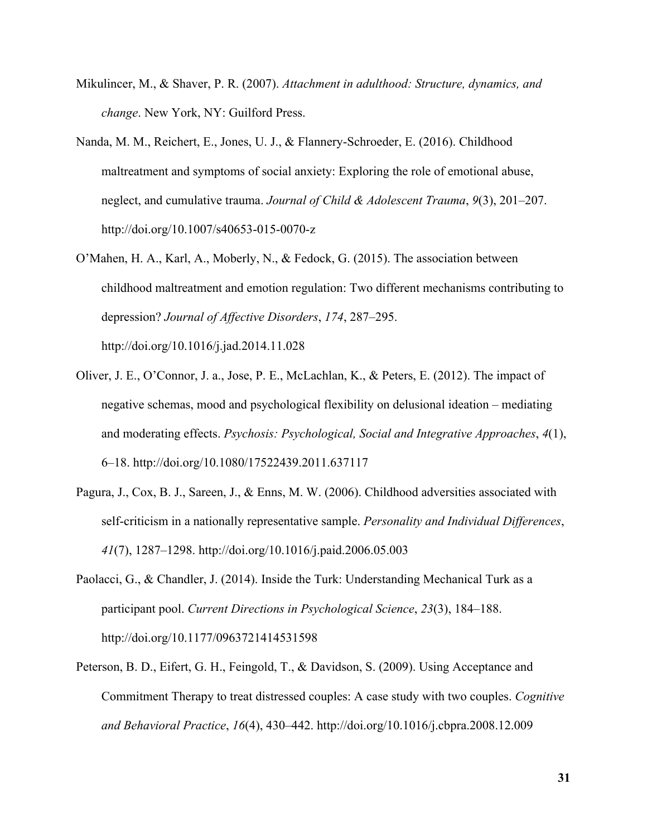- Mikulincer, M., & Shaver, P. R. (2007). *Attachment in adulthood: Structure, dynamics, and change*. New York, NY: Guilford Press.
- Nanda, M. M., Reichert, E., Jones, U. J., & Flannery-Schroeder, E. (2016). Childhood maltreatment and symptoms of social anxiety: Exploring the role of emotional abuse, neglect, and cumulative trauma. *Journal of Child & Adolescent Trauma*, *9*(3), 201–207. http://doi.org/10.1007/s40653-015-0070-z
- O'Mahen, H. A., Karl, A., Moberly, N., & Fedock, G. (2015). The association between childhood maltreatment and emotion regulation: Two different mechanisms contributing to depression? *Journal of Affective Disorders*, *174*, 287–295. http://doi.org/10.1016/j.jad.2014.11.028
- Oliver, J. E., O'Connor, J. a., Jose, P. E., McLachlan, K., & Peters, E. (2012). The impact of negative schemas, mood and psychological flexibility on delusional ideation – mediating and moderating effects. *Psychosis: Psychological, Social and Integrative Approaches*, *4*(1), 6–18. http://doi.org/10.1080/17522439.2011.637117
- Pagura, J., Cox, B. J., Sareen, J., & Enns, M. W. (2006). Childhood adversities associated with self-criticism in a nationally representative sample. *Personality and Individual Differences*, *41*(7), 1287–1298. http://doi.org/10.1016/j.paid.2006.05.003
- Paolacci, G., & Chandler, J. (2014). Inside the Turk: Understanding Mechanical Turk as a participant pool. *Current Directions in Psychological Science*, *23*(3), 184–188. http://doi.org/10.1177/0963721414531598
- Peterson, B. D., Eifert, G. H., Feingold, T., & Davidson, S. (2009). Using Acceptance and Commitment Therapy to treat distressed couples: A case study with two couples. *Cognitive and Behavioral Practice*, *16*(4), 430–442. http://doi.org/10.1016/j.cbpra.2008.12.009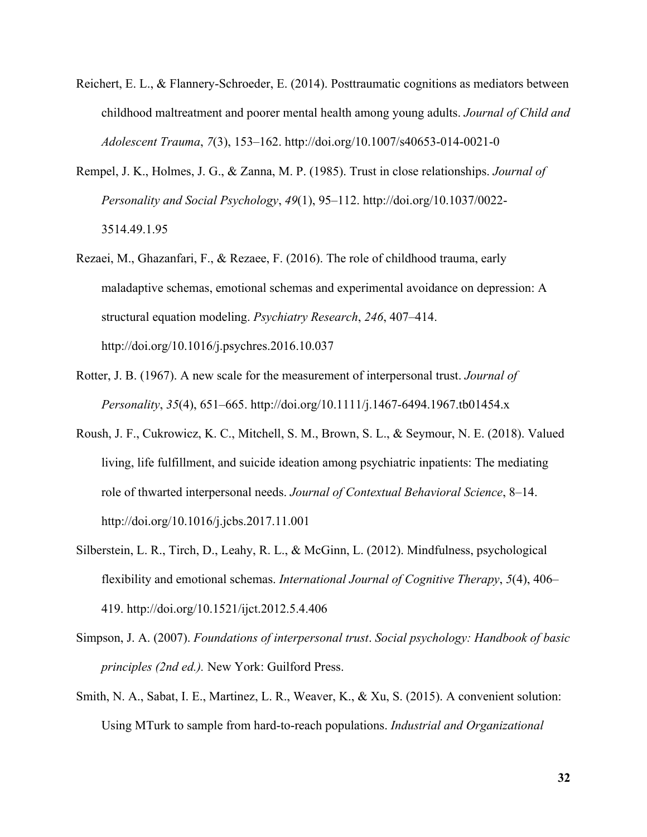- Reichert, E. L., & Flannery-Schroeder, E. (2014). Posttraumatic cognitions as mediators between childhood maltreatment and poorer mental health among young adults. *Journal of Child and Adolescent Trauma*, *7*(3), 153–162. http://doi.org/10.1007/s40653-014-0021-0
- Rempel, J. K., Holmes, J. G., & Zanna, M. P. (1985). Trust in close relationships. *Journal of Personality and Social Psychology*, *49*(1), 95–112. http://doi.org/10.1037/0022- 3514.49.1.95
- Rezaei, M., Ghazanfari, F., & Rezaee, F. (2016). The role of childhood trauma, early maladaptive schemas, emotional schemas and experimental avoidance on depression: A structural equation modeling. *Psychiatry Research*, *246*, 407–414. http://doi.org/10.1016/j.psychres.2016.10.037
- Rotter, J. B. (1967). A new scale for the measurement of interpersonal trust. *Journal of Personality*, *35*(4), 651–665. http://doi.org/10.1111/j.1467-6494.1967.tb01454.x
- Roush, J. F., Cukrowicz, K. C., Mitchell, S. M., Brown, S. L., & Seymour, N. E. (2018). Valued living, life fulfillment, and suicide ideation among psychiatric inpatients: The mediating role of thwarted interpersonal needs. *Journal of Contextual Behavioral Science*, 8–14. http://doi.org/10.1016/j.jcbs.2017.11.001
- Silberstein, L. R., Tirch, D., Leahy, R. L., & McGinn, L. (2012). Mindfulness, psychological flexibility and emotional schemas. *International Journal of Cognitive Therapy*, *5*(4), 406– 419. http://doi.org/10.1521/ijct.2012.5.4.406
- Simpson, J. A. (2007). *Foundations of interpersonal trust*. *Social psychology: Handbook of basic principles (2nd ed.).* New York: Guilford Press.
- Smith, N. A., Sabat, I. E., Martinez, L. R., Weaver, K., & Xu, S. (2015). A convenient solution: Using MTurk to sample from hard-to-reach populations. *Industrial and Organizational*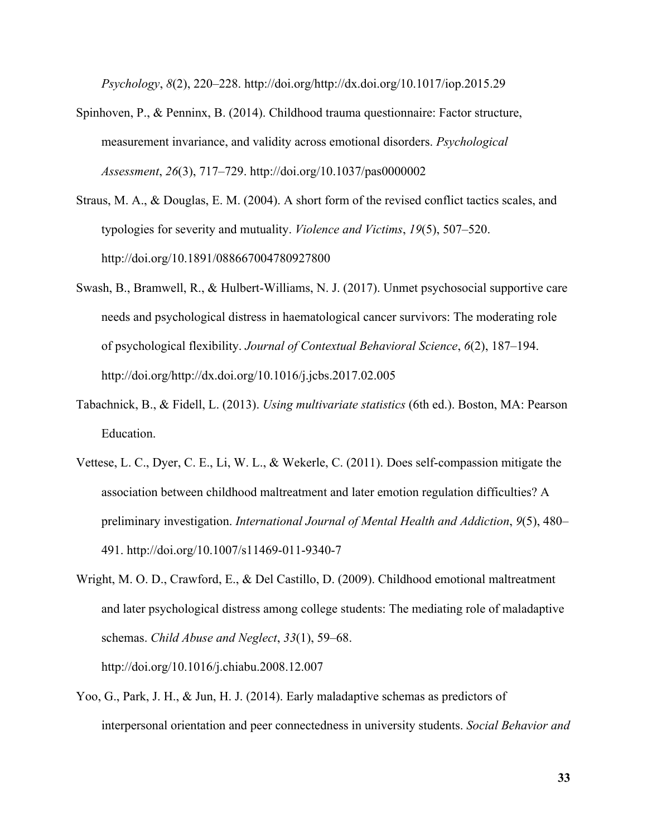*Psychology*, *8*(2), 220–228. http://doi.org/http://dx.doi.org/10.1017/iop.2015.29

- Spinhoven, P., & Penninx, B. (2014). Childhood trauma questionnaire: Factor structure, measurement invariance, and validity across emotional disorders. *Psychological Assessment*, *26*(3), 717–729. http://doi.org/10.1037/pas0000002
- Straus, M. A., & Douglas, E. M. (2004). A short form of the revised conflict tactics scales, and typologies for severity and mutuality. *Violence and Victims*, *19*(5), 507–520. http://doi.org/10.1891/088667004780927800
- Swash, B., Bramwell, R., & Hulbert-Williams, N. J. (2017). Unmet psychosocial supportive care needs and psychological distress in haematological cancer survivors: The moderating role of psychological flexibility. *Journal of Contextual Behavioral Science*, *6*(2), 187–194. http://doi.org/http://dx.doi.org/10.1016/j.jcbs.2017.02.005
- Tabachnick, B., & Fidell, L. (2013). *Using multivariate statistics* (6th ed.). Boston, MA: Pearson Education.
- Vettese, L. C., Dyer, C. E., Li, W. L., & Wekerle, C. (2011). Does self-compassion mitigate the association between childhood maltreatment and later emotion regulation difficulties? A preliminary investigation. *International Journal of Mental Health and Addiction*, *9*(5), 480– 491. http://doi.org/10.1007/s11469-011-9340-7
- Wright, M. O. D., Crawford, E., & Del Castillo, D. (2009). Childhood emotional maltreatment and later psychological distress among college students: The mediating role of maladaptive schemas. *Child Abuse and Neglect*, *33*(1), 59–68. http://doi.org/10.1016/j.chiabu.2008.12.007
- Yoo, G., Park, J. H., & Jun, H. J. (2014). Early maladaptive schemas as predictors of interpersonal orientation and peer connectedness in university students. *Social Behavior and*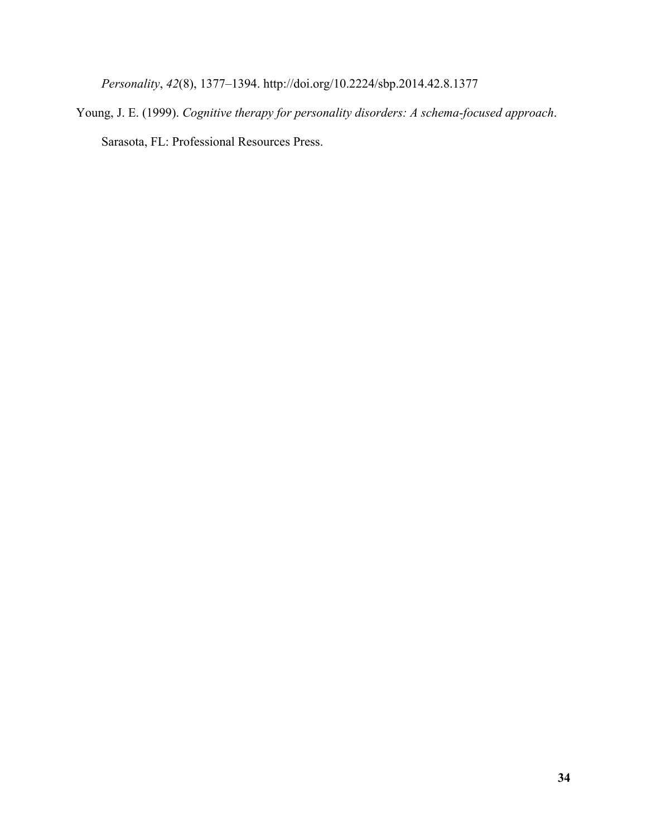*Personality*, *42*(8), 1377–1394. http://doi.org/10.2224/sbp.2014.42.8.1377

Young, J. E. (1999). *Cognitive therapy for personality disorders: A schema-focused approach*. Sarasota, FL: Professional Resources Press.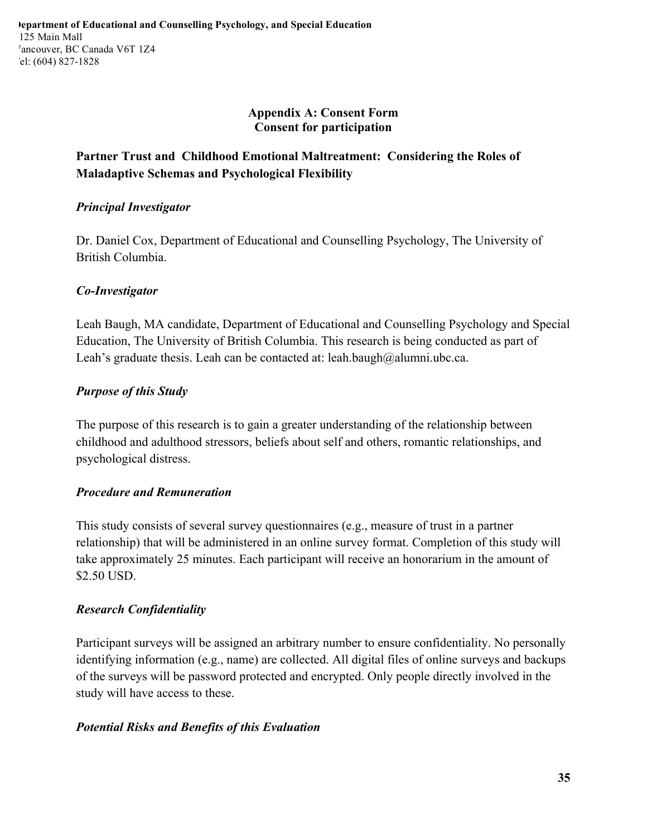## **Appendix A: Consent Form Consent for participation**

# **Partner Trust and Childhood Emotional Maltreatment: Considering the Roles of Maladaptive Schemas and Psychological Flexibility**

## *Principal Investigator*

Dr. Daniel Cox, Department of Educational and Counselling Psychology, The University of British Columbia.

## *Co-Investigator*

Leah Baugh, MA candidate, Department of Educational and Counselling Psychology and Special Education, The University of British Columbia. This research is being conducted as part of Leah's graduate thesis. Leah can be contacted at: leah.baugh@alumni.ubc.ca.

## *Purpose of this Study*

The purpose of this research is to gain a greater understanding of the relationship between childhood and adulthood stressors, beliefs about self and others, romantic relationships, and psychological distress.

## *Procedure and Remuneration*

This study consists of several survey questionnaires (e.g., measure of trust in a partner relationship) that will be administered in an online survey format. Completion of this study will take approximately 25 minutes. Each participant will receive an honorarium in the amount of \$2.50 USD.

## *Research Confidentiality*

Participant surveys will be assigned an arbitrary number to ensure confidentiality. No personally identifying information (e.g., name) are collected. All digital files of online surveys and backups of the surveys will be password protected and encrypted. Only people directly involved in the study will have access to these.

# *Potential Risks and Benefits of this Evaluation*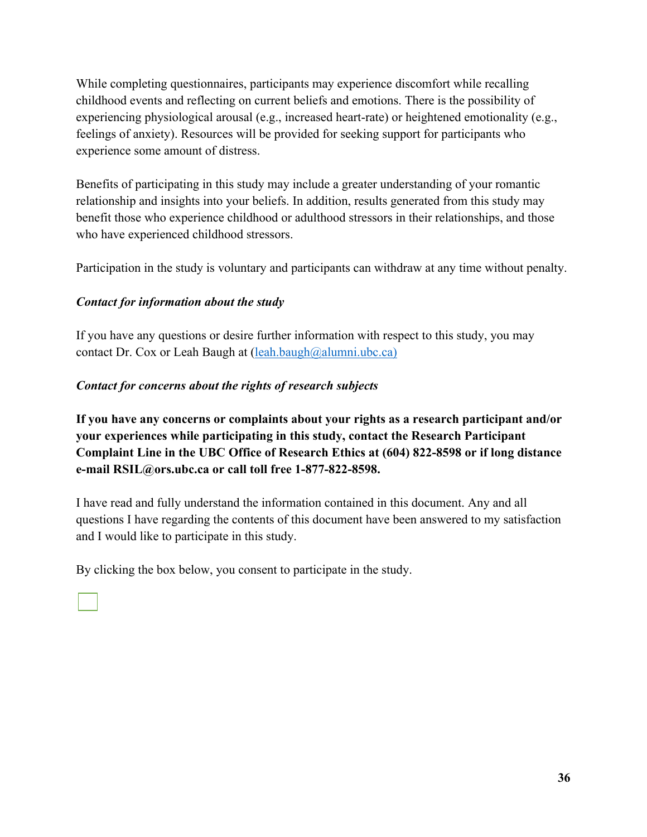While completing questionnaires, participants may experience discomfort while recalling childhood events and reflecting on current beliefs and emotions. There is the possibility of experiencing physiological arousal (e.g., increased heart-rate) or heightened emotionality (e.g., feelings of anxiety). Resources will be provided for seeking support for participants who experience some amount of distress.

Benefits of participating in this study may include a greater understanding of your romantic relationship and insights into your beliefs. In addition, results generated from this study may benefit those who experience childhood or adulthood stressors in their relationships, and those who have experienced childhood stressors.

Participation in the study is voluntary and participants can withdraw at any time without penalty.

# *Contact for information about the study*

If you have any questions or desire further information with respect to this study, you may contact Dr. Cox or Leah Baugh at  $(lean.baugh@alumni.ubc.ca)$ 

# *Contact for concerns about the rights of research subjects*

**If you have any concerns or complaints about your rights as a research participant and/or your experiences while participating in this study, contact the Research Participant Complaint Line in the UBC Office of Research Ethics at (604) 822-8598 or if long distance e-mail RSIL@ors.ubc.ca or call toll free 1-877-822-8598.** 

I have read and fully understand the information contained in this document. Any and all questions I have regarding the contents of this document have been answered to my satisfaction and I would like to participate in this study.

By clicking the box below, you consent to participate in the study.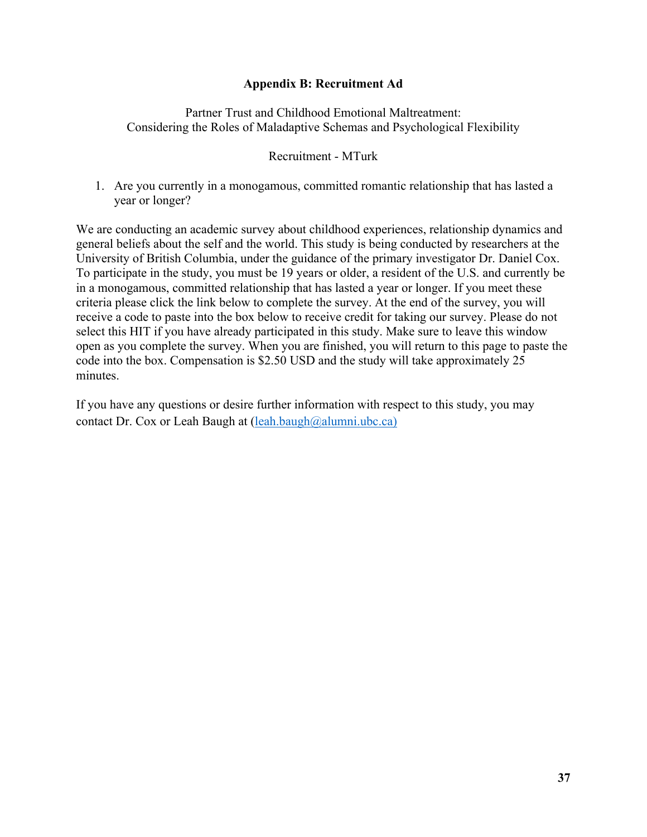## **Appendix B: Recruitment Ad**

## Partner Trust and Childhood Emotional Maltreatment: Considering the Roles of Maladaptive Schemas and Psychological Flexibility

## Recruitment - MTurk

1. Are you currently in a monogamous, committed romantic relationship that has lasted a year or longer?

We are conducting an academic survey about childhood experiences, relationship dynamics and general beliefs about the self and the world. This study is being conducted by researchers at the University of British Columbia, under the guidance of the primary investigator Dr. Daniel Cox. To participate in the study, you must be 19 years or older, a resident of the U.S. and currently be in a monogamous, committed relationship that has lasted a year or longer. If you meet these criteria please click the link below to complete the survey. At the end of the survey, you will receive a code to paste into the box below to receive credit for taking our survey. Please do not select this HIT if you have already participated in this study. Make sure to leave this window open as you complete the survey. When you are finished, you will return to this page to paste the code into the box. Compensation is \$2.50 USD and the study will take approximately 25 minutes.

If you have any questions or desire further information with respect to this study, you may contact Dr. Cox or Leah Baugh at  $(lean.baugh@alumni.ubc.ca)$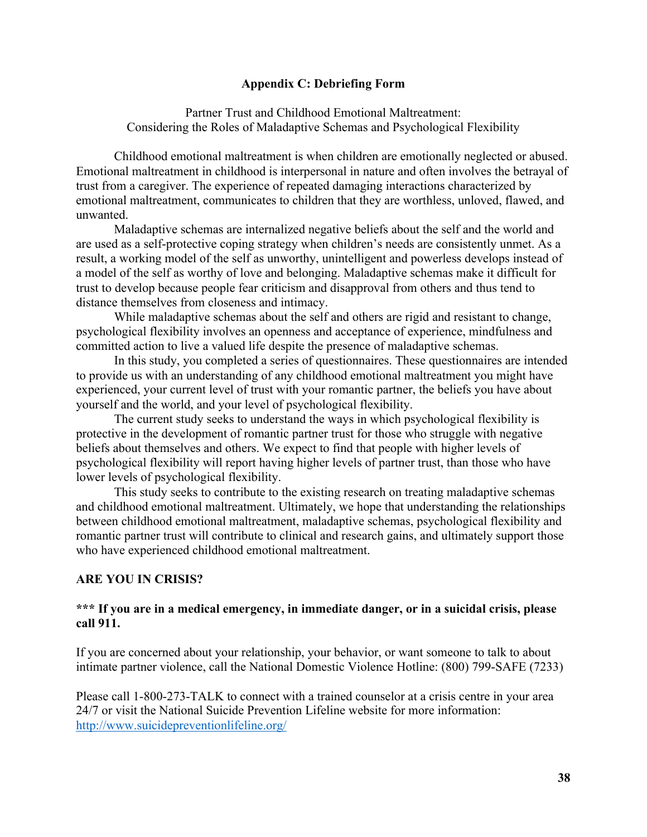## **Appendix C: Debriefing Form**

Partner Trust and Childhood Emotional Maltreatment: Considering the Roles of Maladaptive Schemas and Psychological Flexibility

Childhood emotional maltreatment is when children are emotionally neglected or abused. Emotional maltreatment in childhood is interpersonal in nature and often involves the betrayal of trust from a caregiver. The experience of repeated damaging interactions characterized by emotional maltreatment, communicates to children that they are worthless, unloved, flawed, and unwanted.

Maladaptive schemas are internalized negative beliefs about the self and the world and are used as a self-protective coping strategy when children's needs are consistently unmet. As a result, a working model of the self as unworthy, unintelligent and powerless develops instead of a model of the self as worthy of love and belonging. Maladaptive schemas make it difficult for trust to develop because people fear criticism and disapproval from others and thus tend to distance themselves from closeness and intimacy.

While maladaptive schemas about the self and others are rigid and resistant to change, psychological flexibility involves an openness and acceptance of experience, mindfulness and committed action to live a valued life despite the presence of maladaptive schemas.

In this study, you completed a series of questionnaires. These questionnaires are intended to provide us with an understanding of any childhood emotional maltreatment you might have experienced, your current level of trust with your romantic partner, the beliefs you have about yourself and the world, and your level of psychological flexibility.

The current study seeks to understand the ways in which psychological flexibility is protective in the development of romantic partner trust for those who struggle with negative beliefs about themselves and others. We expect to find that people with higher levels of psychological flexibility will report having higher levels of partner trust, than those who have lower levels of psychological flexibility.

This study seeks to contribute to the existing research on treating maladaptive schemas and childhood emotional maltreatment. Ultimately, we hope that understanding the relationships between childhood emotional maltreatment, maladaptive schemas, psychological flexibility and romantic partner trust will contribute to clinical and research gains, and ultimately support those who have experienced childhood emotional maltreatment.

## **ARE YOU IN CRISIS?**

## **\*\*\* If you are in a medical emergency, in immediate danger, or in a suicidal crisis, please call 911.**

If you are concerned about your relationship, your behavior, or want someone to talk to about intimate partner violence, call the National Domestic Violence Hotline: (800) 799-SAFE (7233)

Please call 1-800-273-TALK to connect with a trained counselor at a crisis centre in your area 24/7 or visit the National Suicide Prevention Lifeline website for more information: http://www.suicidepreventionlifeline.org/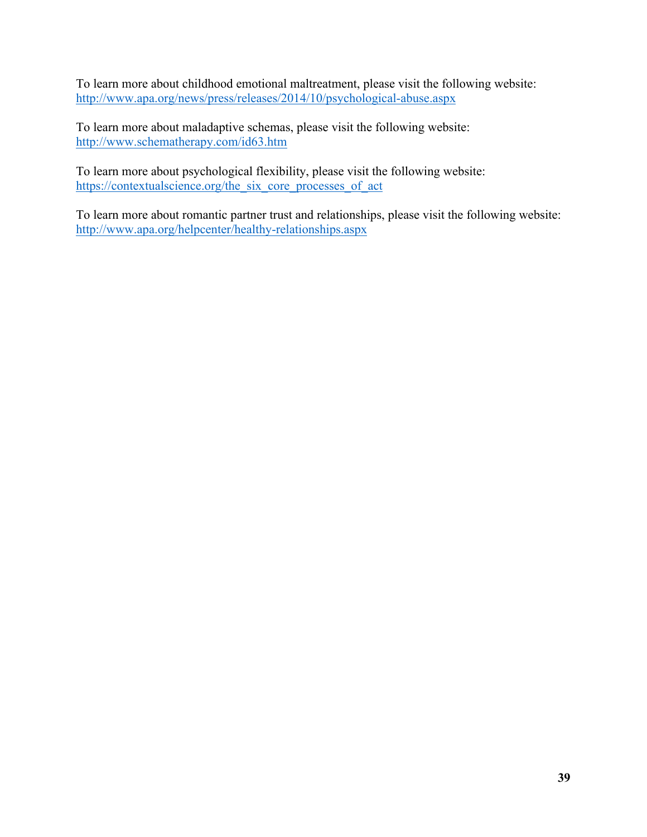To learn more about childhood emotional maltreatment, please visit the following website: http://www.apa.org/news/press/releases/2014/10/psychological-abuse.aspx

To learn more about maladaptive schemas, please visit the following website: http://www.schematherapy.com/id63.htm

To learn more about psychological flexibility, please visit the following website: https://contextualscience.org/the\_six\_core\_processes\_of\_act

To learn more about romantic partner trust and relationships, please visit the following website: http://www.apa.org/helpcenter/healthy-relationships.aspx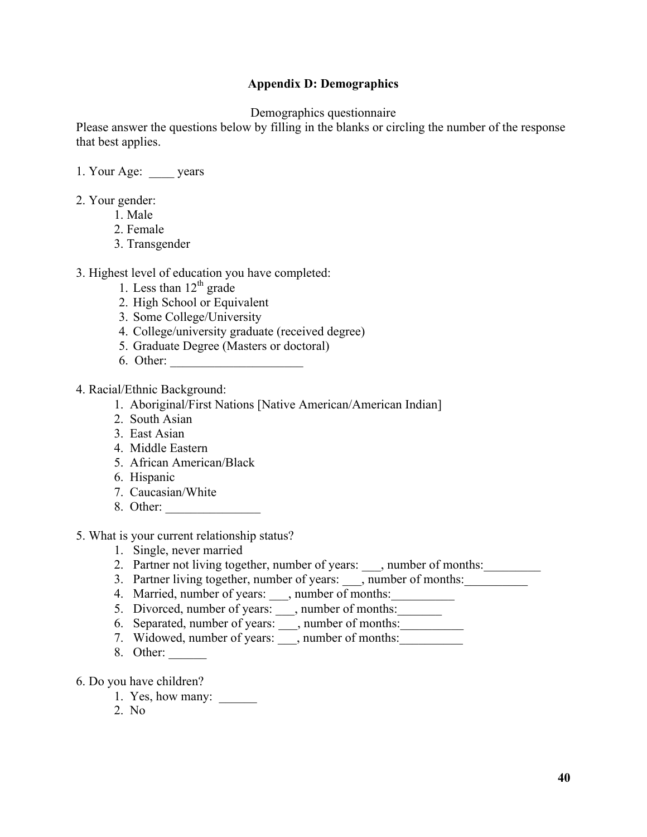## **Appendix D: Demographics**

Demographics questionnaire

Please answer the questions below by filling in the blanks or circling the number of the response that best applies.

1. Your Age: years

- 2. Your gender:
	- 1. Male
	- 2. Female
	- 3. Transgender

3. Highest level of education you have completed:

- 1. Less than  $12^{th}$  grade
- 2. High School or Equivalent
- 3. Some College/University
- 4. College/university graduate (received degree)
- 5. Graduate Degree (Masters or doctoral)
- $6.$  Other:

4. Racial/Ethnic Background:

- 1. Aboriginal/First Nations [Native American/American Indian]
- 2. South Asian
- 3. East Asian
- 4. Middle Eastern
- 5. African American/Black
- 6. Hispanic
- 7. Caucasian/White
- 8. Other:
- 5. What is your current relationship status?
	- 1. Single, never married
	- 2. Partner not living together, number of years: \_\_\_, number of months: \_\_\_\_\_\_\_\_
	- 3. Partner living together, number of years: \_\_\_, number of months:
	- 4. Married, number of years: \_\_\_, number of months:
	- 5. Divorced, number of years: \_\_\_, number of months:
	- 6. Separated, number of years: \_\_\_, number of months: \_\_\_\_\_\_\_\_\_\_\_\_\_\_\_\_\_\_\_\_\_\_\_\_\_\_
	- 7. Widowed, number of years: \_\_\_, number of months:
	- 8. Other:
- 6. Do you have children?
	- 1. Yes, how many:  $\frac{1}{\sqrt{1-\frac{1}{\sqrt{1-\frac{1}{\sqrt{1-\frac{1}{\sqrt{1-\frac{1}{\sqrt{1-\frac{1}{\sqrt{1-\frac{1}{\sqrt{1-\frac{1}{\sqrt{1-\frac{1}{\sqrt{1-\frac{1}{\sqrt{1-\frac{1}{\sqrt{1-\frac{1}{\sqrt{1-\frac{1}{\sqrt{1-\frac{1}{\sqrt{1-\frac{1}{\sqrt{1-\frac{1}{\sqrt{1-\frac{1}{\sqrt{1-\frac{1}{\sqrt{1-\frac{1}{\sqrt{1-\frac{1}{\sqrt{1-\frac{1}{\sqrt{1-\frac{1}{\sqrt{1-\frac{1$
	- 2. No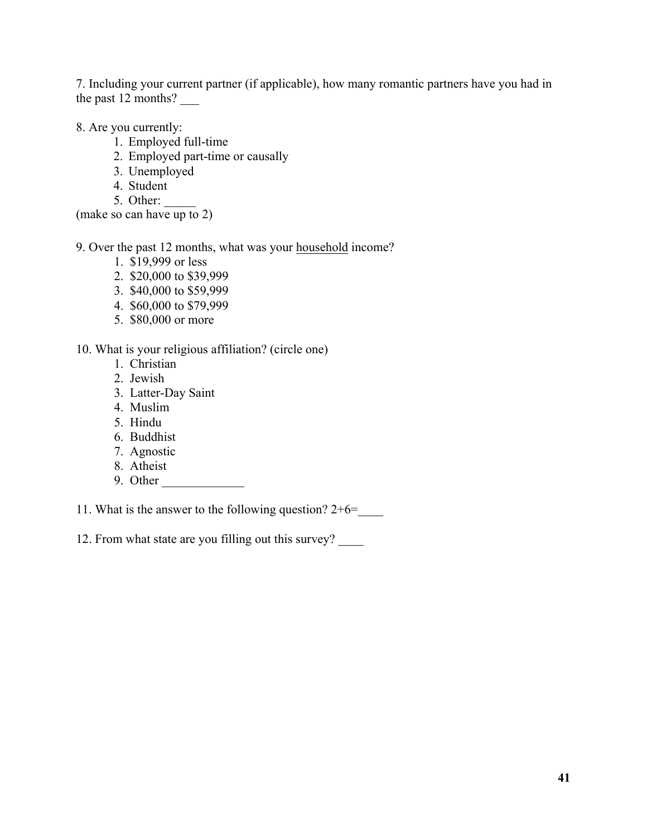7. Including your current partner (if applicable), how many romantic partners have you had in the past 12 months? \_\_\_

8. Are you currently:

- 1. Employed full-time
- 2. Employed part-time or causally
- 3. Unemployed
- 4. Student
- 5. Other:  $\frac{ }{ }$

(make so can have up to 2)

9. Over the past 12 months, what was your household income?

- 1. \$19,999 or less
- 2. \$20,000 to \$39,999
- 3. \$40,000 to \$59,999
- 4. \$60,000 to \$79,999
- 5. \$80,000 or more

## 10. What is your religious affiliation? (circle one)

- 1. Christian
- 2. Jewish
- 3. Latter-Day Saint
- 4. Muslim
- 5. Hindu
- 6. Buddhist
- 7. Agnostic
- 8. Atheist
- 9. Other \_\_\_\_\_\_\_\_\_\_\_\_\_

11. What is the answer to the following question?  $2+6=$ 

12. From what state are you filling out this survey? \_\_\_\_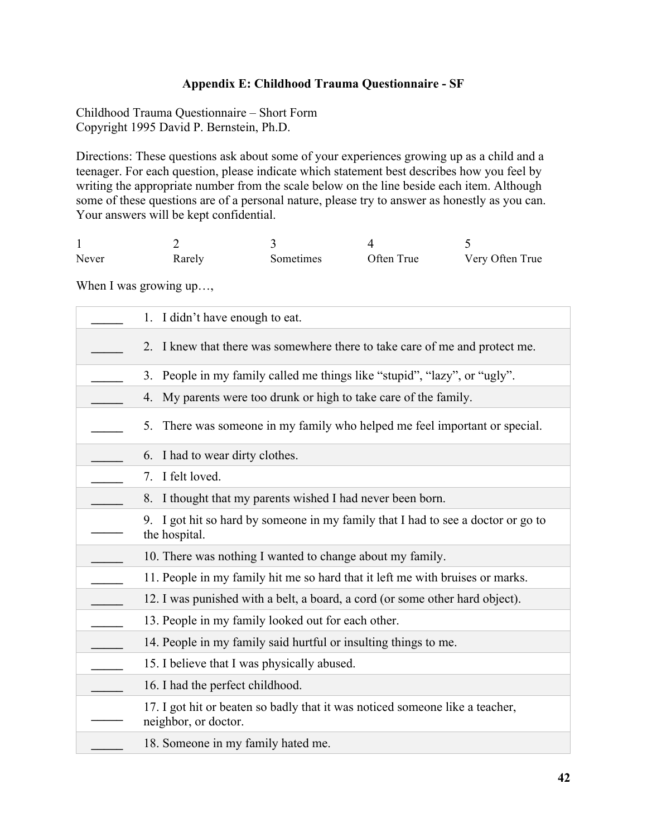## **Appendix E: Childhood Trauma Questionnaire - SF**

Childhood Trauma Questionnaire – Short Form Copyright 1995 David P. Bernstein, Ph.D.

Directions: These questions ask about some of your experiences growing up as a child and a teenager. For each question, please indicate which statement best describes how you feel by writing the appropriate number from the scale below on the line beside each item. Although some of these questions are of a personal nature, please try to answer as honestly as you can. Your answers will be kept confidential.

| Never | Rarely | Sometimes | Often True | Very Often True |
|-------|--------|-----------|------------|-----------------|

When I was growing up...,

| I didn't have enough to eat.                                                                         |
|------------------------------------------------------------------------------------------------------|
| I knew that there was somewhere there to take care of me and protect me.<br>2                        |
| People in my family called me things like "stupid", "lazy", or "ugly".<br>3.                         |
| My parents were too drunk or high to take care of the family.<br>4.                                  |
| There was someone in my family who helped me feel important or special.<br>5.                        |
| I had to wear dirty clothes.<br>6.                                                                   |
| 7. I felt loved.                                                                                     |
| 8. I thought that my parents wished I had never been born.                                           |
| I got hit so hard by someone in my family that I had to see a doctor or go to<br>9.<br>the hospital. |
| 10. There was nothing I wanted to change about my family.                                            |
| 11. People in my family hit me so hard that it left me with bruises or marks.                        |
| 12. I was punished with a belt, a board, a cord (or some other hard object).                         |
| 13. People in my family looked out for each other.                                                   |
| 14. People in my family said hurtful or insulting things to me.                                      |
| 15. I believe that I was physically abused.                                                          |
| 16. I had the perfect childhood.                                                                     |
| 17. I got hit or beaten so badly that it was noticed someone like a teacher,<br>neighbor, or doctor. |
| 18. Someone in my family hated me.                                                                   |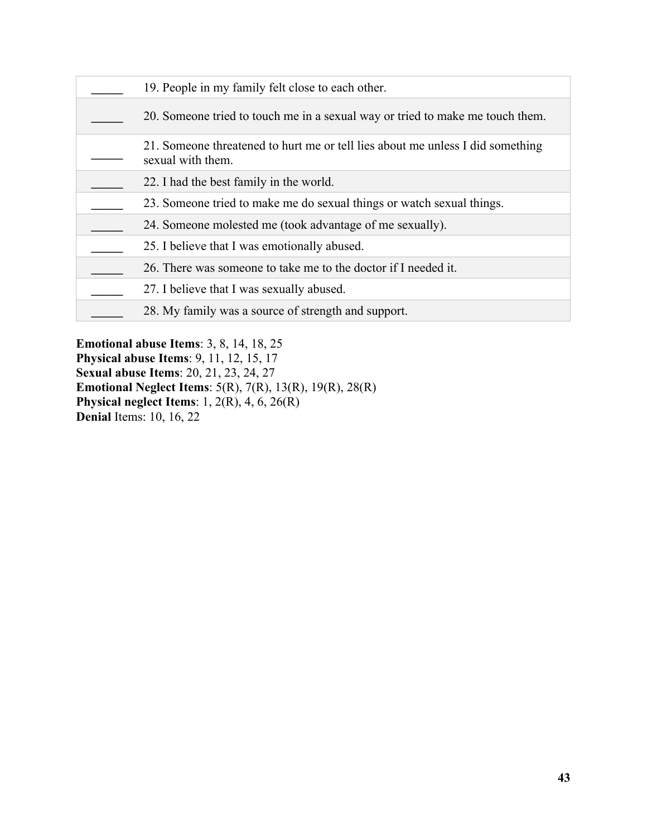| 19. People in my family felt close to each other.                                                   |
|-----------------------------------------------------------------------------------------------------|
| 20. Someone tried to touch me in a sexual way or tried to make me touch them.                       |
| 21. Someone threatened to hurt me or tell lies about me unless I did something<br>sexual with them. |
| 22. I had the best family in the world.                                                             |
| 23. Someone tried to make me do sexual things or watch sexual things.                               |
| 24. Someone molested me (took advantage of me sexually).                                            |
| 25. I believe that I was emotionally abused.                                                        |
| 26. There was someone to take me to the doctor if I needed it.                                      |
| 27. I believe that I was sexually abused.                                                           |
| 28. My family was a source of strength and support.                                                 |

**Emotional abuse Items**: 3, 8, 14, 18, 25 **Physical abuse Items**: 9, 11, 12, 15, 17 **Sexual abuse Items**: 20, 21, 23, 24, 27 **Emotional Neglect Items**: 5(R), 7(R), 13(R), 19(R), 28(R) **Physical neglect Items**: 1, 2(R), 4, 6, 26(R) **Denial** Items: 10, 16, 22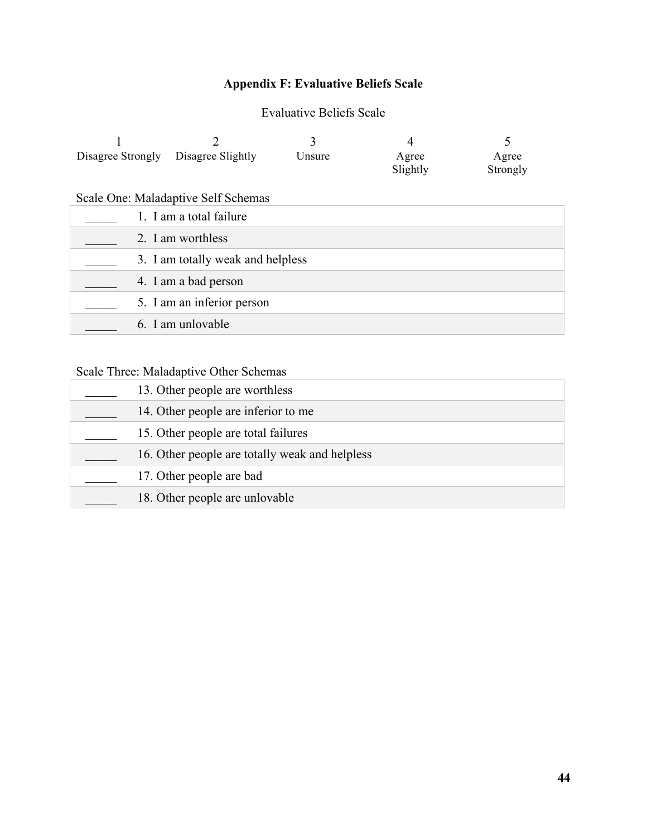# **Appendix F: Evaluative Beliefs Scale**

Evaluative Beliefs Scale

|                            |                                     |        | 4                 | 5                 |  |  |
|----------------------------|-------------------------------------|--------|-------------------|-------------------|--|--|
| Disagree Strongly          | Disagree Slightly                   | Unsure | Agree<br>Slightly | Agree<br>Strongly |  |  |
|                            | Scale One: Maladaptive Self Schemas |        |                   |                   |  |  |
|                            | 1. I am a total failure             |        |                   |                   |  |  |
|                            | 2. I am worthless                   |        |                   |                   |  |  |
|                            | 3. I am totally weak and helpless   |        |                   |                   |  |  |
|                            | 4. I am a bad person                |        |                   |                   |  |  |
| 5. I am an inferior person |                                     |        |                   |                   |  |  |
| 6. I am unlovable          |                                     |        |                   |                   |  |  |
|                            |                                     |        |                   |                   |  |  |

# Scale Three: Maladaptive Other Schemas

| 13. Other people are worthless                 |
|------------------------------------------------|
| 14. Other people are inferior to me            |
| 15. Other people are total failures            |
| 16. Other people are totally weak and helpless |
| 17. Other people are bad                       |
| 18. Other people are unlovable                 |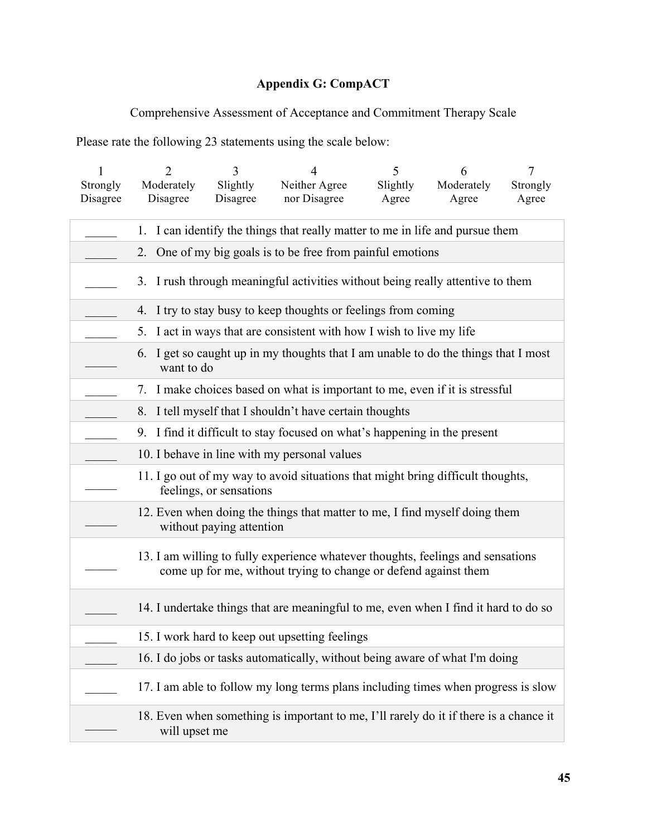# **Appendix G: CompACT**

Comprehensive Assessment of Acceptance and Commitment Therapy Scale

Please rate the following 23 statements using the scale below:

| 1        | $\overline{2}$   | 3                                            | 4                                                                                                                                                  | 5        | 6          | $\tau$   |  |
|----------|------------------|----------------------------------------------|----------------------------------------------------------------------------------------------------------------------------------------------------|----------|------------|----------|--|
| Strongly | Moderately       | Slightly                                     | Neither Agree                                                                                                                                      | Slightly | Moderately | Strongly |  |
| Disagree | Disagree         | Disagree                                     | nor Disagree                                                                                                                                       | Agree    | Agree      | Agree    |  |
|          |                  |                                              |                                                                                                                                                    |          |            |          |  |
|          |                  |                                              | 1. I can identify the things that really matter to me in life and pursue them                                                                      |          |            |          |  |
|          | 2.               |                                              | One of my big goals is to be free from painful emotions                                                                                            |          |            |          |  |
|          | 3.               |                                              | I rush through meaningful activities without being really attentive to them                                                                        |          |            |          |  |
|          | 4.               |                                              | I try to stay busy to keep thoughts or feelings from coming                                                                                        |          |            |          |  |
|          | 5.               |                                              | I act in ways that are consistent with how I wish to live my life                                                                                  |          |            |          |  |
|          | 6.<br>want to do |                                              | I get so caught up in my thoughts that I am unable to do the things that I most                                                                    |          |            |          |  |
|          | 7.               |                                              | I make choices based on what is important to me, even if it is stressful                                                                           |          |            |          |  |
|          |                  |                                              | 8. I tell myself that I shouldn't have certain thoughts                                                                                            |          |            |          |  |
|          | 9.               |                                              | I find it difficult to stay focused on what's happening in the present                                                                             |          |            |          |  |
|          |                  | 10. I behave in line with my personal values |                                                                                                                                                    |          |            |          |  |
|          |                  | feelings, or sensations                      | 11. I go out of my way to avoid situations that might bring difficult thoughts,                                                                    |          |            |          |  |
|          |                  | without paying attention                     | 12. Even when doing the things that matter to me, I find myself doing them                                                                         |          |            |          |  |
|          |                  |                                              | 13. I am willing to fully experience whatever thoughts, feelings and sensations<br>come up for me, without trying to change or defend against them |          |            |          |  |
|          |                  |                                              | 14. I undertake things that are meaningful to me, even when I find it hard to do so                                                                |          |            |          |  |
|          |                  |                                              | 15. I work hard to keep out upsetting feelings                                                                                                     |          |            |          |  |
|          |                  |                                              | 16. I do jobs or tasks automatically, without being aware of what I'm doing                                                                        |          |            |          |  |
|          |                  |                                              | 17. I am able to follow my long terms plans including times when progress is slow                                                                  |          |            |          |  |
|          | will upset me    |                                              | 18. Even when something is important to me, I'll rarely do it if there is a chance it                                                              |          |            |          |  |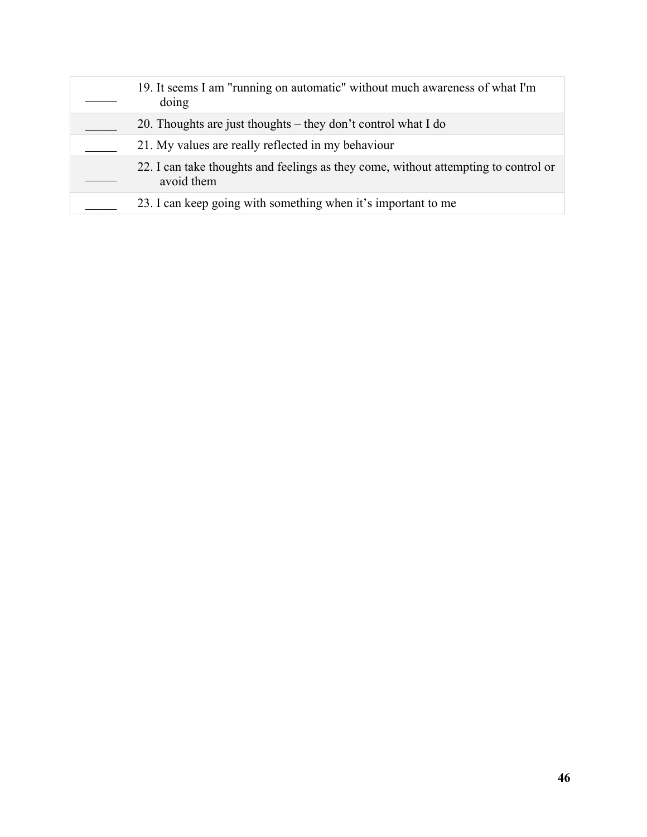| 19. It seems I am "running on automatic" without much awareness of what I'm<br>doing              |
|---------------------------------------------------------------------------------------------------|
| 20. Thoughts are just thoughts – they don't control what I do                                     |
| 21. My values are really reflected in my behaviour                                                |
| 22. I can take thoughts and feelings as they come, without attempting to control or<br>avoid them |
| 23. I can keep going with something when it's important to me                                     |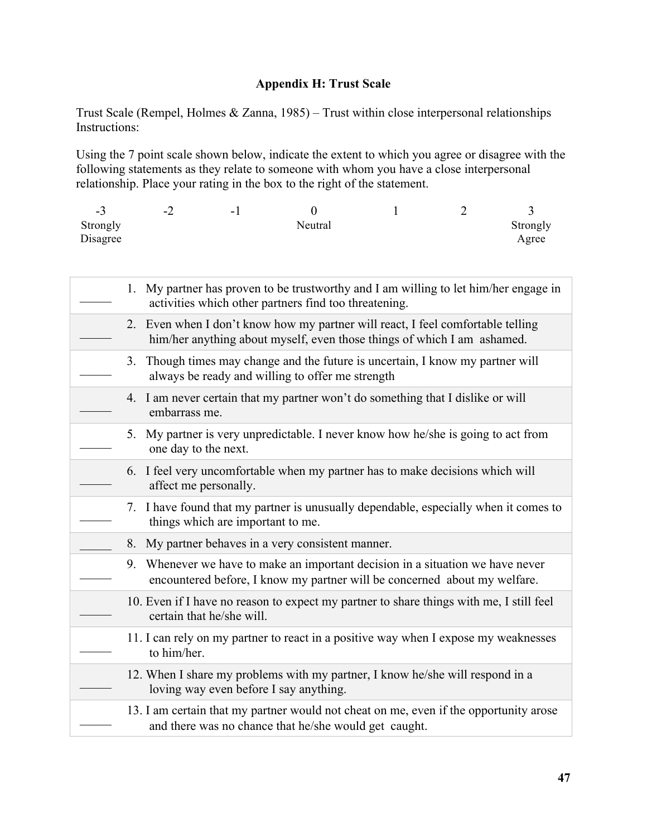# **Appendix H: Trust Scale**

Trust Scale (Rempel, Holmes & Zanna, 1985) – Trust within close interpersonal relationships Instructions:

Using the 7 point scale shown below, indicate the extent to which you agree or disagree with the following statements as they relate to someone with whom you have a close interpersonal relationship. Place your rating in the box to the right of the statement.

| . <u>.</u> | $\rightarrow$<br>∸ | $\sim$ 1 |         | - |          |
|------------|--------------------|----------|---------|---|----------|
| Strongly   |                    |          | Neutral |   | Strongly |
| Disagree   |                    |          |         |   | Agree    |

|    | 1. My partner has proven to be trustworthy and I am willing to let him/her engage in<br>activities which other partners find too threatening.              |
|----|------------------------------------------------------------------------------------------------------------------------------------------------------------|
|    | 2. Even when I don't know how my partner will react, I feel comfortable telling<br>him/her anything about myself, even those things of which I am ashamed. |
|    | 3. Though times may change and the future is uncertain, I know my partner will<br>always be ready and willing to offer me strength                         |
|    | 4. I am never certain that my partner won't do something that I dislike or will<br>embarrass me.                                                           |
| 5. | My partner is very unpredictable. I never know how he/she is going to act from<br>one day to the next.                                                     |
|    | 6. I feel very uncomfortable when my partner has to make decisions which will<br>affect me personally.                                                     |
|    | 7. I have found that my partner is unusually dependable, especially when it comes to<br>things which are important to me.                                  |
|    | 8. My partner behaves in a very consistent manner.                                                                                                         |
| 9. | Whenever we have to make an important decision in a situation we have never<br>encountered before, I know my partner will be concerned about my welfare.   |
|    | 10. Even if I have no reason to expect my partner to share things with me, I still feel<br>certain that he/she will.                                       |
|    | 11. I can rely on my partner to react in a positive way when I expose my weaknesses<br>to him/her.                                                         |
|    | 12. When I share my problems with my partner, I know he/she will respond in a<br>loving way even before I say anything.                                    |
|    | 13. I am certain that my partner would not cheat on me, even if the opportunity arose<br>and there was no chance that he/she would get caught.             |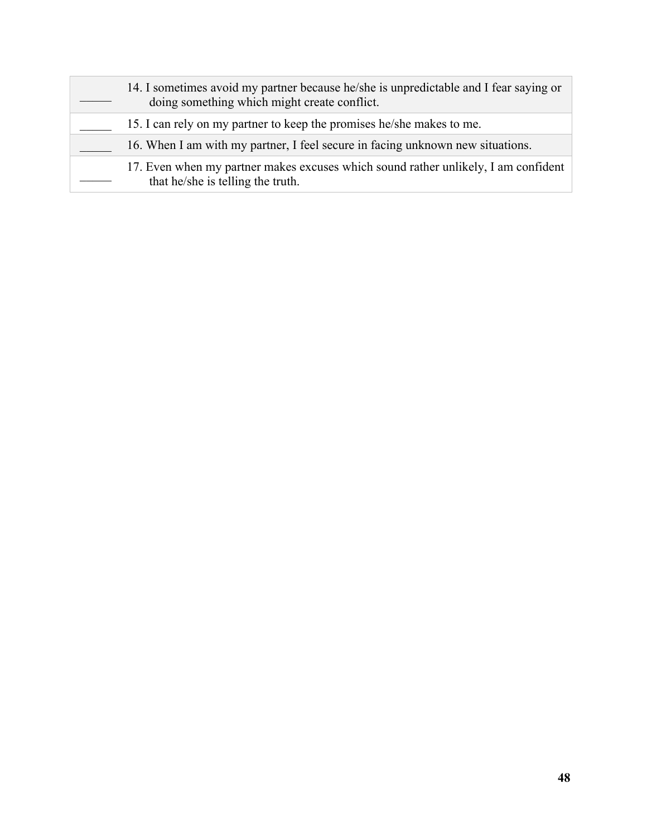| 14. I sometimes avoid my partner because he/she is unpredictable and I fear saying or<br>doing something which might create conflict. |
|---------------------------------------------------------------------------------------------------------------------------------------|
| 15. I can rely on my partner to keep the promises he/she makes to me.                                                                 |
| 16. When I am with my partner, I feel secure in facing unknown new situations.                                                        |
| 17. Even when my partner makes excuses which sound rather unlikely, I am confident<br>that he/she is telling the truth.               |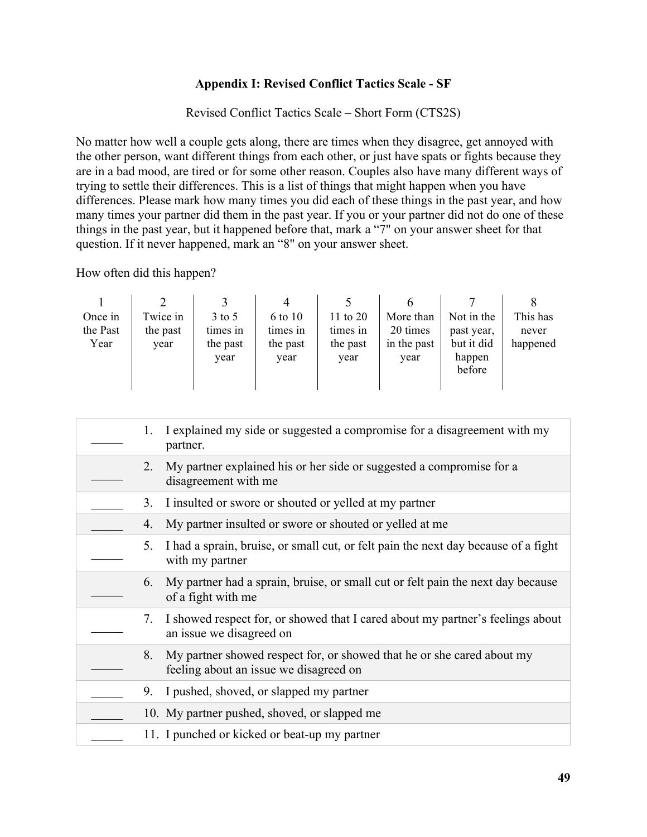## **Appendix I: Revised Conflict Tactics Scale - SF**

Revised Conflict Tactics Scale – Short Form (CTS2S)

No matter how well a couple gets along, there are times when they disagree, get annoyed with the other person, want different things from each other, or just have spats or fights because they are in a bad mood, are tired or for some other reason. Couples also have many different ways of trying to settle their differences. This is a list of things that might happen when you have differences. Please mark how many times you did each of these things in the past year, and how many times your partner did them in the past year. If you or your partner did not do one of these things in the past year, but it happened before that, mark a "7" on your answer sheet for that question. If it never happened, mark an "8" on your answer sheet.

How often did this happen?

| Once in<br>the Past<br>Year | Twice in<br>the past<br>year | $3$ to 5<br>times in<br>the past<br>year | 6 to 10<br>times in<br>the past<br>year | 11 to 20<br>times in<br>the past<br>year | More than<br>20 times<br>in the past<br>year | Not in the<br>past year.<br>but it did<br>happen<br>before | This has<br>never<br>happened |
|-----------------------------|------------------------------|------------------------------------------|-----------------------------------------|------------------------------------------|----------------------------------------------|------------------------------------------------------------|-------------------------------|

| 1. | I explained my side or suggested a compromise for a disagreement with my<br>partner.                             |
|----|------------------------------------------------------------------------------------------------------------------|
| 2. | My partner explained his or her side or suggested a compromise for a<br>disagreement with me                     |
| 3. | I insulted or swore or shouted or yelled at my partner                                                           |
| 4. | My partner insulted or swore or shouted or yelled at me                                                          |
| 5. | I had a sprain, bruise, or small cut, or felt pain the next day because of a fight<br>with my partner            |
| 6. | My partner had a sprain, bruise, or small cut or felt pain the next day because<br>of a fight with me            |
| 7. | I showed respect for, or showed that I cared about my partner's feelings about<br>an issue we disagreed on       |
| 8. | My partner showed respect for, or showed that he or she cared about my<br>feeling about an issue we disagreed on |
| 9. | I pushed, shoved, or slapped my partner                                                                          |
|    | 10. My partner pushed, shoved, or slapped me                                                                     |
|    | 11. I punched or kicked or beat-up my partner                                                                    |